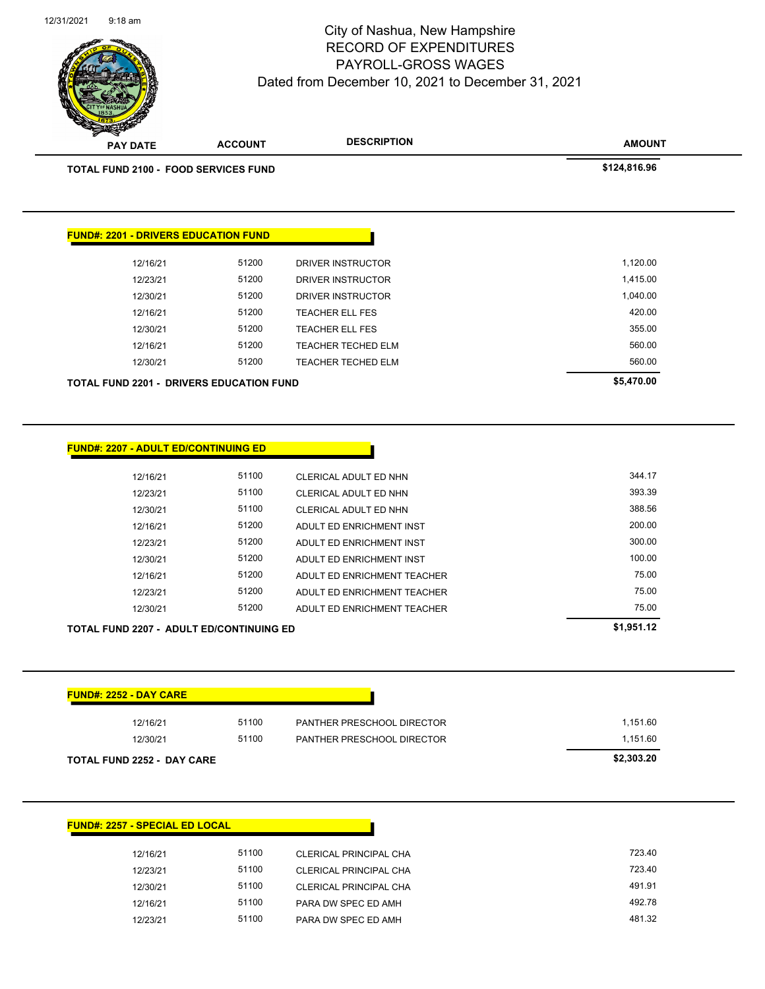

| TOTAL FUND 2100 - FOOD SERVICES FUND            |       |                              | \$124,816.96 |
|-------------------------------------------------|-------|------------------------------|--------------|
|                                                 |       |                              |              |
| <b>FUND#: 2201 - DRIVERS EDUCATION FUND</b>     |       |                              |              |
| 12/16/21                                        | 51200 | DRIVER INSTRUCTOR            | 1,120.00     |
| 12/23/21                                        | 51200 | DRIVER INSTRUCTOR            | 1,415.00     |
| 12/30/21                                        | 51200 | <b>DRIVER INSTRUCTOR</b>     | 1,040.00     |
| 12/16/21                                        | 51200 | <b>TEACHER ELL FES</b>       | 420.00       |
| 12/30/21                                        | 51200 | <b>TEACHER ELL FES</b>       | 355.00       |
| 12/16/21                                        | 51200 | <b>TEACHER TECHED ELM</b>    | 560.00       |
| 12/30/21                                        | 51200 | <b>TEACHER TECHED ELM</b>    | 560.00       |
| <b>TOTAL FUND 2201 - DRIVERS EDUCATION FUND</b> |       |                              | \$5,470.00   |
|                                                 |       |                              |              |
| <b>FUND#: 2207 - ADULT ED/CONTINUING ED</b>     |       |                              |              |
| 12/16/21                                        | 51100 | CLERICAL ADULT ED NHN        | 344.17       |
| 12/23/21                                        | 51100 | <b>CLERICAL ADULT ED NHN</b> | 393.39       |
| 10100104                                        | E4400 | O(17D10A1 ADI1.7FDA11I)      | 200E         |

| <b>TOTAL FUND 2207 - ADULT ED/CONTINUING ED</b> | \$1,951.12 |                             |        |
|-------------------------------------------------|------------|-----------------------------|--------|
| 12/30/21                                        | 51200      | ADULT ED ENRICHMENT TEACHER | 75.00  |
| 12/23/21                                        | 51200      | ADULT ED ENRICHMENT TEACHER | 75.00  |
| 12/16/21                                        | 51200      | ADULT ED ENRICHMENT TEACHER | 75.00  |
| 12/30/21                                        | 51200      | ADULT ED ENRICHMENT INST    | 100.00 |
| 12/23/21                                        | 51200      | ADULT ED ENRICHMENT INST    | 300.00 |
| 12/16/21                                        | 51200      | ADULT ED ENRICHMENT INST    | 200.00 |
| 12/30/21                                        | 51100      | CLERICAL ADULT ED NHN       | 388.56 |
|                                                 |            |                             |        |

| <b>FUND#: 2252 - DAY CARE</b>     |       |                                   |            |
|-----------------------------------|-------|-----------------------------------|------------|
| 12/16/21                          | 51100 | <b>PANTHER PRESCHOOL DIRECTOR</b> | 1,151.60   |
| 12/30/21                          | 51100 | PANTHER PRESCHOOL DIRECTOR        | 1,151.60   |
| <b>TOTAL FUND 2252 - DAY CARE</b> |       |                                   | \$2,303.20 |

| <b>FUND#: 2257 - SPECIAL ED LOCAL</b> |       |                               |  |  |
|---------------------------------------|-------|-------------------------------|--|--|
| 12/16/21                              | 51100 | CLERICAL PRINCIPAL CHA        |  |  |
| 12/23/21                              | 51100 | CLERICAL PRINCIPAL CHA        |  |  |
| 12/30/21                              | 51100 | <b>CLERICAL PRINCIPAL CHA</b> |  |  |
| 12/16/21                              | 51100 | PARA DW SPEC ED AMH           |  |  |
| 12/23/21                              | 51100 | PARA DW SPEC ED AMH           |  |  |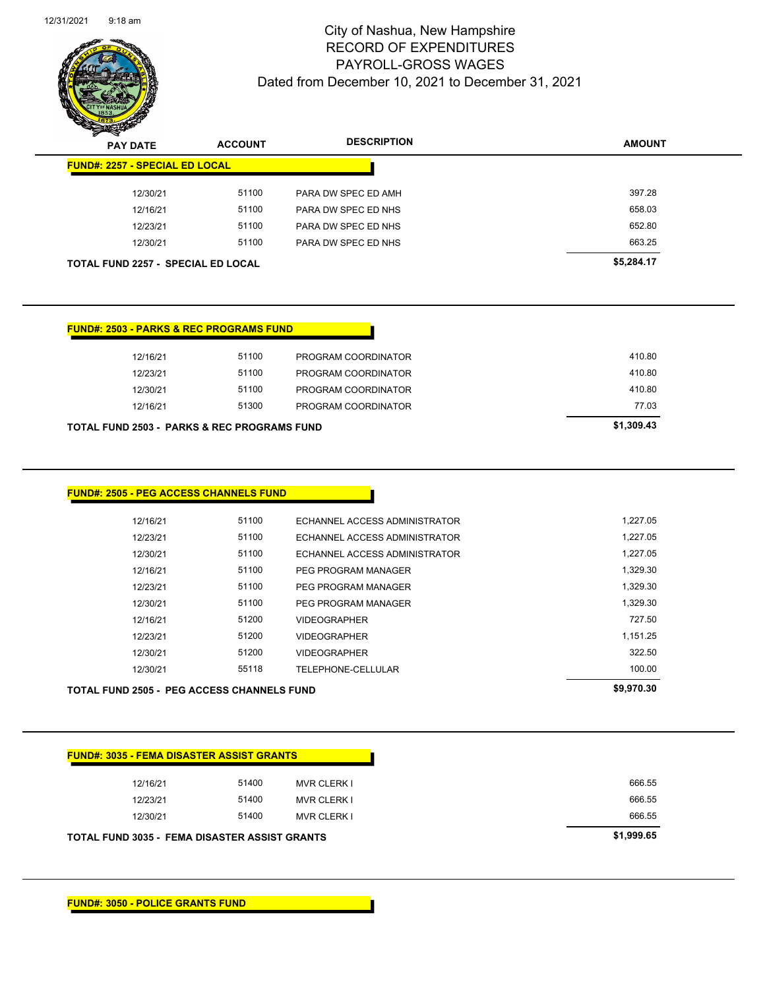

| - | <b>PAY DATE</b>                           | <b>ACCOUNT</b> | <b>DESCRIPTION</b>  | <b>AMOUNT</b> |
|---|-------------------------------------------|----------------|---------------------|---------------|
|   | <b>FUND#: 2257 - SPECIAL ED LOCAL</b>     |                |                     |               |
|   | 12/30/21                                  | 51100          | PARA DW SPEC ED AMH | 397.28        |
|   | 12/16/21                                  | 51100          | PARA DW SPEC ED NHS | 658.03        |
|   | 12/23/21                                  | 51100          | PARA DW SPEC ED NHS | 652.80        |
|   | 12/30/21                                  | 51100          | PARA DW SPEC ED NHS | 663.25        |
|   | <b>TOTAL FUND 2257 - SPECIAL ED LOCAL</b> |                |                     | \$5,284.17    |

| 12/16/21                                               | 51100 | PROGRAM COORDINATOR | 410.80     |
|--------------------------------------------------------|-------|---------------------|------------|
| 12/23/21                                               | 51100 | PROGRAM COORDINATOR | 410.80     |
| 12/30/21                                               | 51100 | PROGRAM COORDINATOR | 410.80     |
| 12/16/21                                               | 51300 | PROGRAM COORDINATOR | 77.03      |
| <b>TOTAL FUND 2503 - PARKS &amp; REC PROGRAMS FUND</b> |       |                     | \$1,309.43 |

| TOTAL FUND 2505 - PEG ACCESS CHANNELS FUND |       |                               | \$9,970.30 |
|--------------------------------------------|-------|-------------------------------|------------|
| 12/30/21                                   | 55118 | TELEPHONE-CELLULAR            | 100.00     |
| 12/30/21                                   | 51200 | <b>VIDEOGRAPHER</b>           | 322.50     |
| 12/23/21                                   | 51200 | <b>VIDEOGRAPHER</b>           | 1.151.25   |
| 12/16/21                                   | 51200 | <b>VIDEOGRAPHER</b>           | 727.50     |
| 12/30/21                                   | 51100 | PEG PROGRAM MANAGER           | 1,329.30   |
| 12/23/21                                   | 51100 | PEG PROGRAM MANAGER           | 1,329.30   |
| 12/16/21                                   | 51100 | PEG PROGRAM MANAGER           | 1,329.30   |
| 12/30/21                                   | 51100 | ECHANNEL ACCESS ADMINISTRATOR | 1,227.05   |
| 12/23/21                                   | 51100 | ECHANNEL ACCESS ADMINISTRATOR | 1.227.05   |
| 12/16/21                                   | 51100 | ECHANNEL ACCESS ADMINISTRATOR | 1,227.05   |

|  | <u> FUND#: 3035 - FEMA DISASTER ASSIST GRANTS</u> |
|--|---------------------------------------------------|

| TOTAL FUND 3035 - FEMA DISASTER ASSIST GRANTS | \$1,999.65 |                    |        |
|-----------------------------------------------|------------|--------------------|--------|
| 12/30/21                                      | 51400      | <b>MVR CLERK I</b> | 666.55 |
| 12/23/21                                      | 51400      | <b>MVR CLERK I</b> | 666.55 |
| 12/16/21                                      | 51400      | <b>MVR CLERK I</b> | 666.55 |
|                                               |            |                    |        |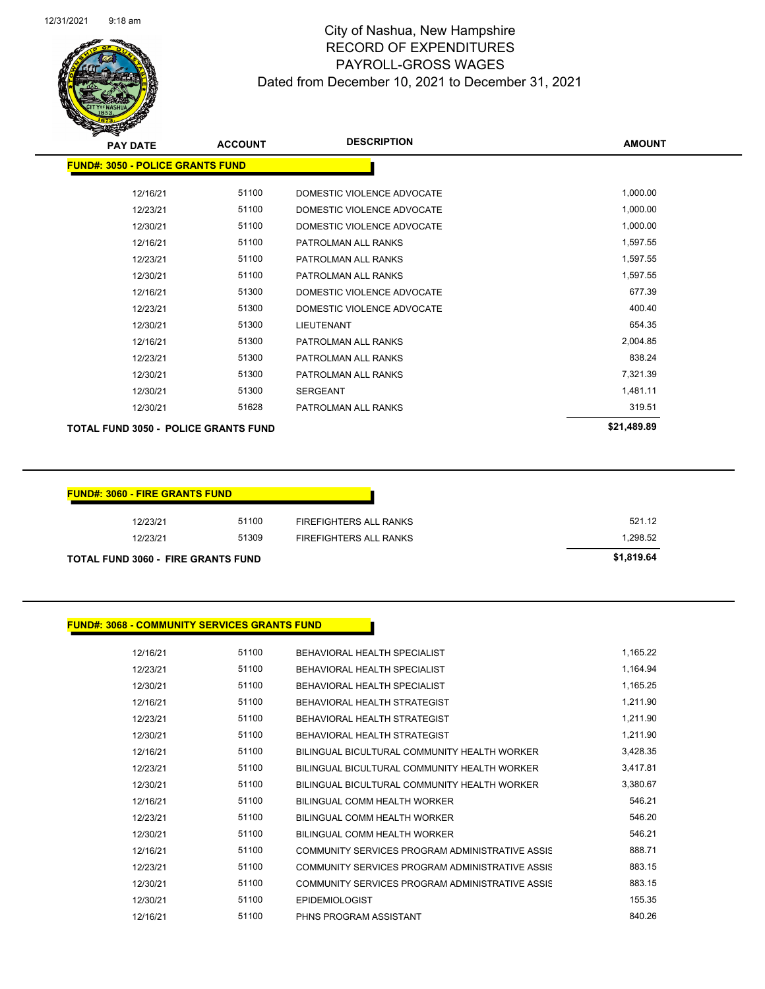

| <b>PAY DATE</b>                             | <b>ACCOUNT</b> | <b>DESCRIPTION</b>         | <b>AMOUNT</b> |
|---------------------------------------------|----------------|----------------------------|---------------|
| <b>FUND#: 3050 - POLICE GRANTS FUND</b>     |                |                            |               |
| 12/16/21                                    | 51100          | DOMESTIC VIOLENCE ADVOCATE | 1,000.00      |
| 12/23/21                                    | 51100          | DOMESTIC VIOLENCE ADVOCATE | 1,000.00      |
| 12/30/21                                    | 51100          | DOMESTIC VIOLENCE ADVOCATE | 1,000.00      |
| 12/16/21                                    | 51100          | PATROLMAN ALL RANKS        | 1,597.55      |
| 12/23/21                                    | 51100          | PATROLMAN ALL RANKS        | 1,597.55      |
| 12/30/21                                    | 51100          | PATROLMAN ALL RANKS        | 1,597.55      |
| 12/16/21                                    | 51300          | DOMESTIC VIOLENCE ADVOCATE | 677.39        |
| 12/23/21                                    | 51300          | DOMESTIC VIOLENCE ADVOCATE | 400.40        |
| 12/30/21                                    | 51300          | <b>LIEUTENANT</b>          | 654.35        |
| 12/16/21                                    | 51300          | PATROLMAN ALL RANKS        | 2,004.85      |
| 12/23/21                                    | 51300          | PATROLMAN ALL RANKS        | 838.24        |
| 12/30/21                                    | 51300          | PATROLMAN ALL RANKS        | 7,321.39      |
| 12/30/21                                    | 51300          | <b>SERGEANT</b>            | 1,481.11      |
| 12/30/21                                    | 51628          | PATROLMAN ALL RANKS        | 319.51        |
| <b>TOTAL FUND 3050 - POLICE GRANTS FUND</b> |                | \$21,489.89                |               |

| <b>FUND#: 3060 - FIRE GRANTS FUND</b>     |            |                        |          |
|-------------------------------------------|------------|------------------------|----------|
| 12/23/21                                  | 51100      | FIREFIGHTERS ALL RANKS | 521.12   |
| 12/23/21                                  | 51309      | FIREFIGHTERS ALL RANKS | 1,298.52 |
| <b>TOTAL FUND 3060 - FIRE GRANTS FUND</b> | \$1,819.64 |                        |          |

#### **FUND#: 3068 - COMMUNITY SERVICES GRANTS FUND**

| 12/16/21 | 51100 | <b>BEHAVIORAL HEALTH SPECIALIST</b>             | 1,165.22 |
|----------|-------|-------------------------------------------------|----------|
| 12/23/21 | 51100 | BEHAVIORAL HEALTH SPECIALIST                    | 1,164.94 |
| 12/30/21 | 51100 | <b>BEHAVIORAL HEALTH SPECIALIST</b>             | 1,165.25 |
| 12/16/21 | 51100 | BEHAVIORAL HEALTH STRATEGIST                    | 1,211.90 |
| 12/23/21 | 51100 | BEHAVIORAL HEALTH STRATEGIST                    | 1,211.90 |
| 12/30/21 | 51100 | <b>BEHAVIORAL HEALTH STRATEGIST</b>             | 1.211.90 |
| 12/16/21 | 51100 | BILINGUAL BICULTURAL COMMUNITY HEALTH WORKER    | 3,428.35 |
| 12/23/21 | 51100 | BILINGUAL BICULTURAL COMMUNITY HEALTH WORKER    | 3,417.81 |
| 12/30/21 | 51100 | BILINGUAL BICULTURAL COMMUNITY HEALTH WORKER    | 3,380.67 |
| 12/16/21 | 51100 | BILINGUAL COMM HEALTH WORKER                    | 546.21   |
| 12/23/21 | 51100 | BILINGUAL COMM HEALTH WORKER                    | 546.20   |
| 12/30/21 | 51100 | BILINGUAL COMM HEALTH WORKER                    | 546.21   |
| 12/16/21 | 51100 | COMMUNITY SERVICES PROGRAM ADMINISTRATIVE ASSIS | 888.71   |
| 12/23/21 | 51100 | COMMUNITY SERVICES PROGRAM ADMINISTRATIVE ASSIS | 883.15   |
| 12/30/21 | 51100 | COMMUNITY SERVICES PROGRAM ADMINISTRATIVE ASSIS | 883.15   |
| 12/30/21 | 51100 | <b>EPIDEMIOLOGIST</b>                           | 155.35   |
| 12/16/21 | 51100 | PHNS PROGRAM ASSISTANT                          | 840.26   |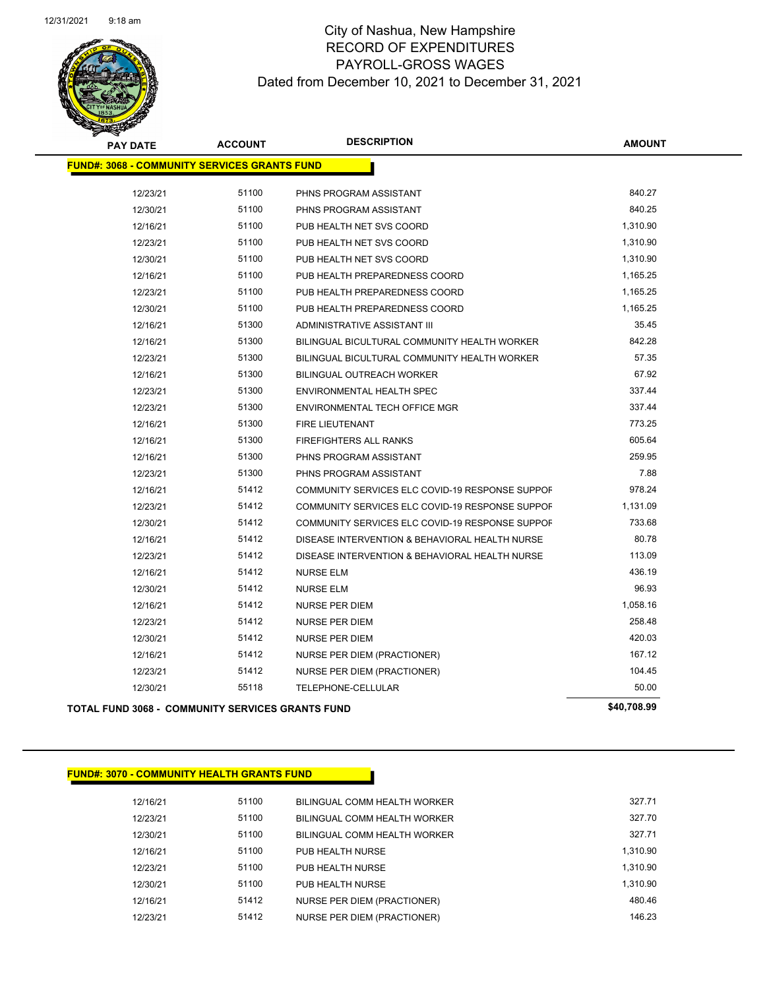

| <b>PAY DATE</b>                                     | <b>ACCOUNT</b> | <b>DESCRIPTION</b>                              | <b>AMOUNT</b> |
|-----------------------------------------------------|----------------|-------------------------------------------------|---------------|
| <b>FUND#: 3068 - COMMUNITY SERVICES GRANTS FUND</b> |                |                                                 |               |
| 12/23/21                                            | 51100          | PHNS PROGRAM ASSISTANT                          | 840.27        |
| 12/30/21                                            | 51100          | PHNS PROGRAM ASSISTANT                          | 840.25        |
| 12/16/21                                            | 51100          | PUB HEALTH NET SVS COORD                        | 1,310.90      |
| 12/23/21                                            | 51100          | PUB HEALTH NET SVS COORD                        | 1,310.90      |
| 12/30/21                                            | 51100          | PUB HEALTH NET SVS COORD                        | 1,310.90      |
| 12/16/21                                            | 51100          | PUB HEALTH PREPAREDNESS COORD                   | 1,165.25      |
| 12/23/21                                            | 51100          | PUB HEALTH PREPAREDNESS COORD                   | 1,165.25      |
| 12/30/21                                            | 51100          | PUB HEALTH PREPAREDNESS COORD                   | 1,165.25      |
| 12/16/21                                            | 51300          | ADMINISTRATIVE ASSISTANT III                    | 35.45         |
| 12/16/21                                            | 51300          | BILINGUAL BICULTURAL COMMUNITY HEALTH WORKER    | 842.28        |
| 12/23/21                                            | 51300          | BILINGUAL BICULTURAL COMMUNITY HEALTH WORKER    | 57.35         |
| 12/16/21                                            | 51300          | BILINGUAL OUTREACH WORKER                       | 67.92         |
| 12/23/21                                            | 51300          | ENVIRONMENTAL HEALTH SPEC                       | 337.44        |
| 12/23/21                                            | 51300          | ENVIRONMENTAL TECH OFFICE MGR                   | 337.44        |
| 12/16/21                                            | 51300          | FIRE LIEUTENANT                                 | 773.25        |
| 12/16/21                                            | 51300          | FIREFIGHTERS ALL RANKS                          | 605.64        |
| 12/16/21                                            | 51300          | PHNS PROGRAM ASSISTANT                          | 259.95        |
| 12/23/21                                            | 51300          | PHNS PROGRAM ASSISTANT                          | 7.88          |
| 12/16/21                                            | 51412          | COMMUNITY SERVICES ELC COVID-19 RESPONSE SUPPOF | 978.24        |
| 12/23/21                                            | 51412          | COMMUNITY SERVICES ELC COVID-19 RESPONSE SUPPOF | 1,131.09      |
| 12/30/21                                            | 51412          | COMMUNITY SERVICES ELC COVID-19 RESPONSE SUPPOF | 733.68        |
| 12/16/21                                            | 51412          | DISEASE INTERVENTION & BEHAVIORAL HEALTH NURSE  | 80.78         |
| 12/23/21                                            | 51412          | DISEASE INTERVENTION & BEHAVIORAL HEALTH NURSE  | 113.09        |
| 12/16/21                                            | 51412          | <b>NURSE ELM</b>                                | 436.19        |
| 12/30/21                                            | 51412          | <b>NURSE ELM</b>                                | 96.93         |
| 12/16/21                                            | 51412          | NURSE PER DIEM                                  | 1,058.16      |
| 12/23/21                                            | 51412          | <b>NURSE PER DIEM</b>                           | 258.48        |
| 12/30/21                                            | 51412          | <b>NURSE PER DIEM</b>                           | 420.03        |
| 12/16/21                                            | 51412          | NURSE PER DIEM (PRACTIONER)                     | 167.12        |
| 12/23/21                                            | 51412          | NURSE PER DIEM (PRACTIONER)                     | 104.45        |
| 12/30/21                                            | 55118          | TELEPHONE-CELLULAR                              | 50.00         |
| TOTAL FUND 3068 - COMMUNITY SERVICES GRANTS FUND    |                |                                                 | \$40,708.99   |

| <b>FUND#: 3070 - COMMUNITY HEALTH GRANTS FUND</b> |
|---------------------------------------------------|
|                                                   |

| 12/16/21 | 51100 | BILINGUAL COMM HEALTH WORKER       | 327.71   |
|----------|-------|------------------------------------|----------|
| 12/23/21 | 51100 | BILINGUAL COMM HEALTH WORKER       | 327.70   |
| 12/30/21 | 51100 | BILINGUAL COMM HEALTH WORKER       | 327.71   |
| 12/16/21 | 51100 | PUB HEALTH NURSE                   | 1.310.90 |
| 12/23/21 | 51100 | PUB HEALTH NURSE                   | 1.310.90 |
| 12/30/21 | 51100 | PUB HEALTH NURSE                   | 1.310.90 |
| 12/16/21 | 51412 | NURSE PER DIEM (PRACTIONER)        | 480.46   |
| 12/23/21 | 51412 | <b>NURSE PER DIEM (PRACTIONER)</b> | 146.23   |
|          |       |                                    |          |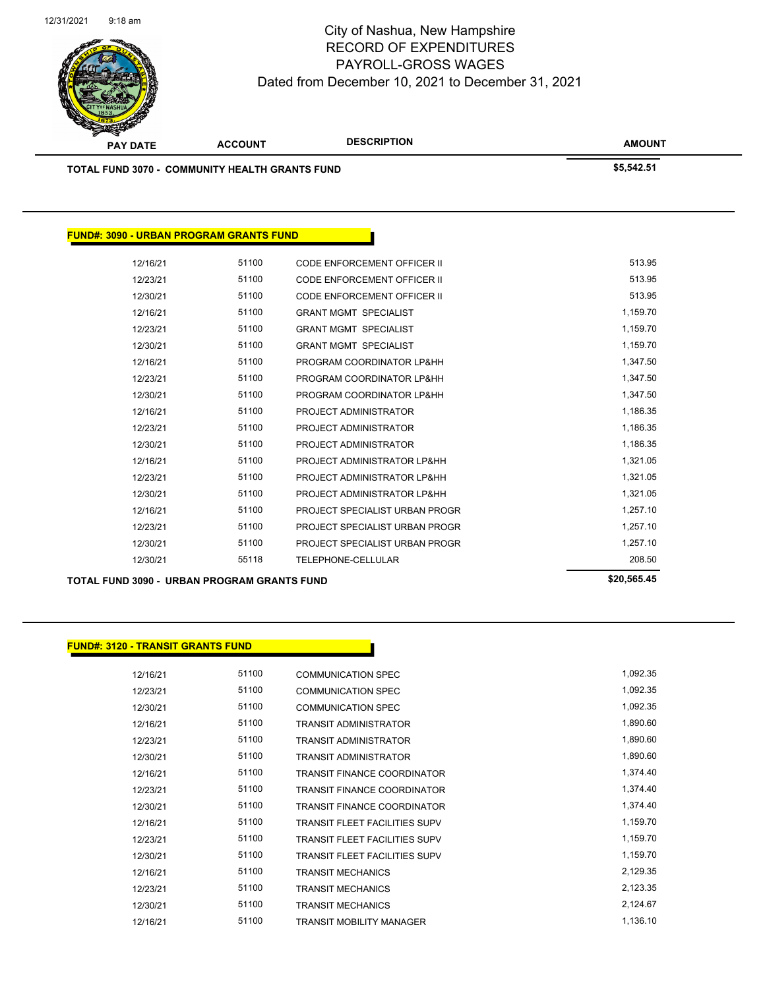

| <b>TOTAL FUND 3070 - COMMUNITY HEALTH GRANTS FUND</b> |                                                    |                                    | \$5,542.51  |
|-------------------------------------------------------|----------------------------------------------------|------------------------------------|-------------|
|                                                       |                                                    |                                    |             |
| <b>FUND#: 3090 - URBAN PROGRAM GRANTS FUND</b>        |                                                    |                                    |             |
| 12/16/21                                              | 51100                                              | <b>CODE ENFORCEMENT OFFICER II</b> | 513.95      |
| 12/23/21                                              | 51100                                              | <b>CODE ENFORCEMENT OFFICER II</b> | 513.95      |
| 12/30/21                                              | 51100                                              | <b>CODE ENFORCEMENT OFFICER II</b> | 513.95      |
| 12/16/21                                              | 51100                                              | <b>GRANT MGMT SPECIALIST</b>       | 1,159.70    |
| 12/23/21                                              | 51100                                              | <b>GRANT MGMT SPECIALIST</b>       | 1,159.70    |
| 12/30/21                                              | 51100                                              | <b>GRANT MGMT SPECIALIST</b>       | 1,159.70    |
| 12/16/21                                              | 51100                                              | PROGRAM COORDINATOR LP&HH          | 1,347.50    |
| 12/23/21                                              | 51100                                              | PROGRAM COORDINATOR LP&HH          | 1,347.50    |
| 12/30/21                                              | 51100                                              | PROGRAM COORDINATOR LP&HH          | 1,347.50    |
| 12/16/21                                              | 51100                                              | PROJECT ADMINISTRATOR              | 1,186.35    |
| 12/23/21                                              | 51100                                              | PROJECT ADMINISTRATOR              | 1,186.35    |
| 12/30/21                                              | 51100                                              | PROJECT ADMINISTRATOR              | 1,186.35    |
| 12/16/21                                              | 51100                                              | PROJECT ADMINISTRATOR LP&HH        | 1,321.05    |
| 12/23/21                                              | 51100                                              | PROJECT ADMINISTRATOR LP&HH        | 1,321.05    |
| 12/30/21                                              | 51100                                              | PROJECT ADMINISTRATOR LP&HH        | 1,321.05    |
| 12/16/21                                              | 51100                                              | PROJECT SPECIALIST URBAN PROGR     | 1,257.10    |
| 12/23/21                                              | 51100                                              | PROJECT SPECIALIST URBAN PROGR     | 1,257.10    |
| 12/30/21                                              | 51100                                              | PROJECT SPECIALIST URBAN PROGR     | 1,257.10    |
| 12/30/21                                              | 55118                                              | <b>TELEPHONE-CELLULAR</b>          | 208.50      |
|                                                       | <b>TOTAL FUND 3090 - URBAN PROGRAM GRANTS FUND</b> |                                    | \$20,565.45 |

#### **FUND#: 3120 - TRANSIT GRANTS FUND**

| 12/16/21 | 51100 | <b>COMMUNICATION SPEC</b>            | 1,092.35 |
|----------|-------|--------------------------------------|----------|
| 12/23/21 | 51100 | <b>COMMUNICATION SPEC</b>            | 1,092.35 |
| 12/30/21 | 51100 | <b>COMMUNICATION SPEC</b>            | 1,092.35 |
| 12/16/21 | 51100 | <b>TRANSIT ADMINISTRATOR</b>         | 1,890.60 |
| 12/23/21 | 51100 | <b>TRANSIT ADMINISTRATOR</b>         | 1,890.60 |
| 12/30/21 | 51100 | TRANSIT ADMINISTRATOR                | 1,890.60 |
| 12/16/21 | 51100 | <b>TRANSIT FINANCE COORDINATOR</b>   | 1,374.40 |
| 12/23/21 | 51100 | <b>TRANSIT FINANCE COORDINATOR</b>   | 1,374.40 |
| 12/30/21 | 51100 | <b>TRANSIT FINANCE COORDINATOR</b>   | 1,374.40 |
| 12/16/21 | 51100 | <b>TRANSIT FLEET FACILITIES SUPV</b> | 1,159.70 |
| 12/23/21 | 51100 | <b>TRANSIT FLEET FACILITIES SUPV</b> | 1,159.70 |
| 12/30/21 | 51100 | <b>TRANSIT FLEET FACILITIES SUPV</b> | 1,159.70 |
| 12/16/21 | 51100 | <b>TRANSIT MECHANICS</b>             | 2,129.35 |
| 12/23/21 | 51100 | <b>TRANSIT MECHANICS</b>             | 2,123.35 |
| 12/30/21 | 51100 | <b>TRANSIT MECHANICS</b>             | 2,124.67 |
| 12/16/21 | 51100 | <b>TRANSIT MOBILITY MANAGER</b>      | 1,136.10 |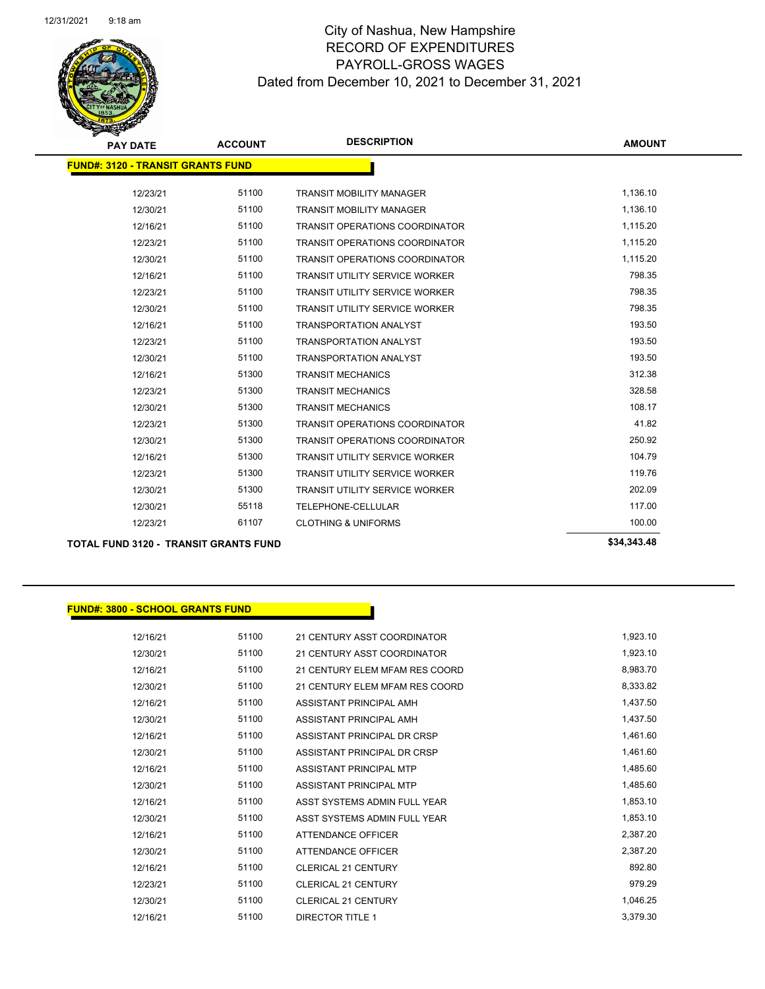

| <b>PAY DATE</b>                              | <b>ACCOUNT</b> | <b>DESCRIPTION</b>                    | <b>AMOUNT</b> |
|----------------------------------------------|----------------|---------------------------------------|---------------|
| <b>FUND#: 3120 - TRANSIT GRANTS FUND</b>     |                |                                       |               |
| 12/23/21                                     | 51100          | <b>TRANSIT MOBILITY MANAGER</b>       | 1,136.10      |
| 12/30/21                                     | 51100          | <b>TRANSIT MOBILITY MANAGER</b>       | 1,136.10      |
| 12/16/21                                     | 51100          | <b>TRANSIT OPERATIONS COORDINATOR</b> | 1,115.20      |
| 12/23/21                                     | 51100          | <b>TRANSIT OPERATIONS COORDINATOR</b> | 1,115.20      |
| 12/30/21                                     | 51100          | TRANSIT OPERATIONS COORDINATOR        | 1,115.20      |
| 12/16/21                                     | 51100          | <b>TRANSIT UTILITY SERVICE WORKER</b> | 798.35        |
| 12/23/21                                     | 51100          | <b>TRANSIT UTILITY SERVICE WORKER</b> | 798.35        |
| 12/30/21                                     | 51100          | <b>TRANSIT UTILITY SERVICE WORKER</b> | 798.35        |
| 12/16/21                                     | 51100          | <b>TRANSPORTATION ANALYST</b>         | 193.50        |
| 12/23/21                                     | 51100          | <b>TRANSPORTATION ANALYST</b>         | 193.50        |
| 12/30/21                                     | 51100          | <b>TRANSPORTATION ANALYST</b>         | 193.50        |
| 12/16/21                                     | 51300          | <b>TRANSIT MECHANICS</b>              | 312.38        |
| 12/23/21                                     | 51300          | <b>TRANSIT MECHANICS</b>              | 328.58        |
| 12/30/21                                     | 51300          | <b>TRANSIT MECHANICS</b>              | 108.17        |
| 12/23/21                                     | 51300          | <b>TRANSIT OPERATIONS COORDINATOR</b> | 41.82         |
| 12/30/21                                     | 51300          | <b>TRANSIT OPERATIONS COORDINATOR</b> | 250.92        |
| 12/16/21                                     | 51300          | <b>TRANSIT UTILITY SERVICE WORKER</b> | 104.79        |
| 12/23/21                                     | 51300          | <b>TRANSIT UTILITY SERVICE WORKER</b> | 119.76        |
| 12/30/21                                     | 51300          | <b>TRANSIT UTILITY SERVICE WORKER</b> | 202.09        |
| 12/30/21                                     | 55118          | TELEPHONE-CELLULAR                    | 117.00        |
| 12/23/21                                     | 61107          | <b>CLOTHING &amp; UNIFORMS</b>        | 100.00        |
| <b>TOTAL FUND 3120 - TRANSIT GRANTS FUND</b> |                |                                       | \$34,343.48   |

#### **FUND#: 3800 - SCHOOL GRANTS FUND**

| 12/16/21 | 51100 | 21 CENTURY ASST COORDINATOR    | 1,923.10 |
|----------|-------|--------------------------------|----------|
| 12/30/21 | 51100 | 21 CENTURY ASST COORDINATOR    | 1,923.10 |
| 12/16/21 | 51100 | 21 CENTURY ELEM MFAM RES COORD | 8,983.70 |
| 12/30/21 | 51100 | 21 CENTURY ELEM MFAM RES COORD | 8,333.82 |
| 12/16/21 | 51100 | ASSISTANT PRINCIPAL AMH        | 1,437.50 |
| 12/30/21 | 51100 | ASSISTANT PRINCIPAL AMH        | 1,437.50 |
| 12/16/21 | 51100 | ASSISTANT PRINCIPAL DR CRSP    | 1,461.60 |
| 12/30/21 | 51100 | ASSISTANT PRINCIPAL DR CRSP    | 1,461.60 |
| 12/16/21 | 51100 | ASSISTANT PRINCIPAL MTP        | 1,485.60 |
| 12/30/21 | 51100 | ASSISTANT PRINCIPAL MTP        | 1,485.60 |
| 12/16/21 | 51100 | ASST SYSTEMS ADMIN FULL YEAR   | 1,853.10 |
| 12/30/21 | 51100 | ASST SYSTEMS ADMIN FULL YEAR   | 1,853.10 |
| 12/16/21 | 51100 | <b>ATTENDANCE OFFICER</b>      | 2,387.20 |
| 12/30/21 | 51100 | <b>ATTENDANCE OFFICER</b>      | 2,387.20 |
| 12/16/21 | 51100 | <b>CLERICAL 21 CENTURY</b>     | 892.80   |
| 12/23/21 | 51100 | <b>CLERICAL 21 CENTURY</b>     | 979.29   |
| 12/30/21 | 51100 | <b>CLERICAL 21 CENTURY</b>     | 1,046.25 |
| 12/16/21 | 51100 | <b>DIRECTOR TITLE 1</b>        | 3,379.30 |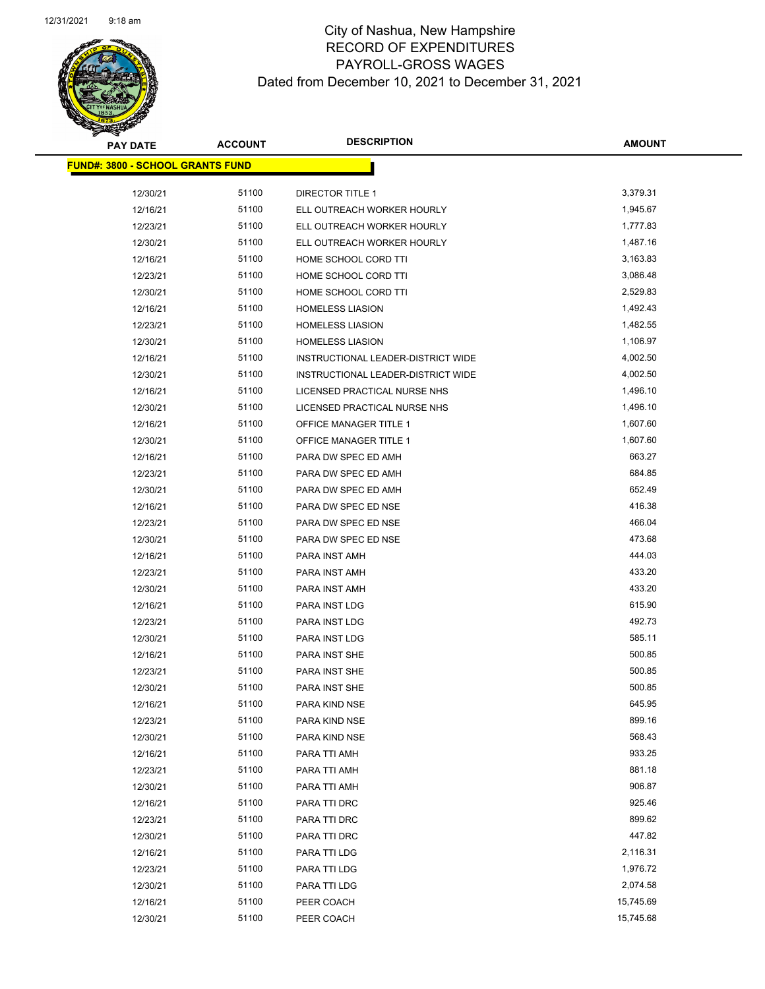

| <b>PAY DATE</b>                          | <b>ACCOUNT</b> | <b>DESCRIPTION</b>                 | <b>AMOUNT</b> |
|------------------------------------------|----------------|------------------------------------|---------------|
| <u> FUND#: 3800 - SCHOOL GRANTS FUND</u> |                |                                    |               |
| 12/30/21                                 | 51100          | <b>DIRECTOR TITLE 1</b>            | 3,379.31      |
| 12/16/21                                 | 51100          | ELL OUTREACH WORKER HOURLY         | 1,945.67      |
| 12/23/21                                 | 51100          | ELL OUTREACH WORKER HOURLY         | 1,777.83      |
| 12/30/21                                 | 51100          | ELL OUTREACH WORKER HOURLY         | 1,487.16      |
| 12/16/21                                 | 51100          | HOME SCHOOL CORD TTI               | 3,163.83      |
| 12/23/21                                 | 51100          | HOME SCHOOL CORD TTI               | 3,086.48      |
| 12/30/21                                 | 51100          | HOME SCHOOL CORD TTI               | 2,529.83      |
| 12/16/21                                 | 51100          | <b>HOMELESS LIASION</b>            | 1,492.43      |
| 12/23/21                                 | 51100          | <b>HOMELESS LIASION</b>            | 1,482.55      |
| 12/30/21                                 | 51100          | <b>HOMELESS LIASION</b>            | 1,106.97      |
| 12/16/21                                 | 51100          | INSTRUCTIONAL LEADER-DISTRICT WIDE | 4,002.50      |
| 12/30/21                                 | 51100          | INSTRUCTIONAL LEADER-DISTRICT WIDE | 4,002.50      |
| 12/16/21                                 | 51100          | LICENSED PRACTICAL NURSE NHS       | 1,496.10      |
| 12/30/21                                 | 51100          | LICENSED PRACTICAL NURSE NHS       | 1,496.10      |
| 12/16/21                                 | 51100          | <b>OFFICE MANAGER TITLE 1</b>      | 1,607.60      |
| 12/30/21                                 | 51100          | OFFICE MANAGER TITLE 1             | 1,607.60      |
| 12/16/21                                 | 51100          | PARA DW SPEC ED AMH                | 663.27        |
| 12/23/21                                 | 51100          | PARA DW SPEC ED AMH                | 684.85        |
| 12/30/21                                 | 51100          | PARA DW SPEC ED AMH                | 652.49        |
| 12/16/21                                 | 51100          | PARA DW SPEC ED NSE                | 416.38        |
| 12/23/21                                 | 51100          | PARA DW SPEC ED NSE                | 466.04        |
| 12/30/21                                 | 51100          | PARA DW SPEC ED NSE                | 473.68        |
| 12/16/21                                 | 51100          | PARA INST AMH                      | 444.03        |
| 12/23/21                                 | 51100          | PARA INST AMH                      | 433.20        |
| 12/30/21                                 | 51100          | PARA INST AMH                      | 433.20        |
| 12/16/21                                 | 51100          | PARA INST LDG                      | 615.90        |
| 12/23/21                                 | 51100          | PARA INST LDG                      | 492.73        |
| 12/30/21                                 | 51100          | PARA INST LDG                      | 585.11        |
| 12/16/21                                 | 51100          | PARA INST SHE                      | 500.85        |
| 12/23/21                                 | 51100          | PARA INST SHE                      | 500.85        |
| 12/30/21                                 | 51100          | PARA INST SHE                      | 500.85        |
| 12/16/21                                 | 51100          | PARA KIND NSE                      | 645.95        |
| 12/23/21                                 | 51100          | PARA KIND NSE                      | 899.16        |
| 12/30/21                                 | 51100          | PARA KIND NSE                      | 568.43        |
| 12/16/21                                 | 51100          | PARA TTI AMH                       | 933.25        |
| 12/23/21                                 | 51100          | PARA TTI AMH                       | 881.18        |
| 12/30/21                                 | 51100          | PARA TTI AMH                       | 906.87        |
| 12/16/21                                 | 51100          | PARA TTI DRC                       | 925.46        |
| 12/23/21                                 | 51100          | PARA TTI DRC                       | 899.62        |
| 12/30/21                                 | 51100          | PARA TTI DRC                       | 447.82        |
| 12/16/21                                 | 51100          | PARA TTI LDG                       | 2,116.31      |
| 12/23/21                                 | 51100          | PARA TTI LDG                       | 1,976.72      |
| 12/30/21                                 | 51100          | PARA TTI LDG                       | 2,074.58      |
| 12/16/21                                 | 51100          | PEER COACH                         | 15,745.69     |
| 12/30/21                                 | 51100          | PEER COACH                         | 15,745.68     |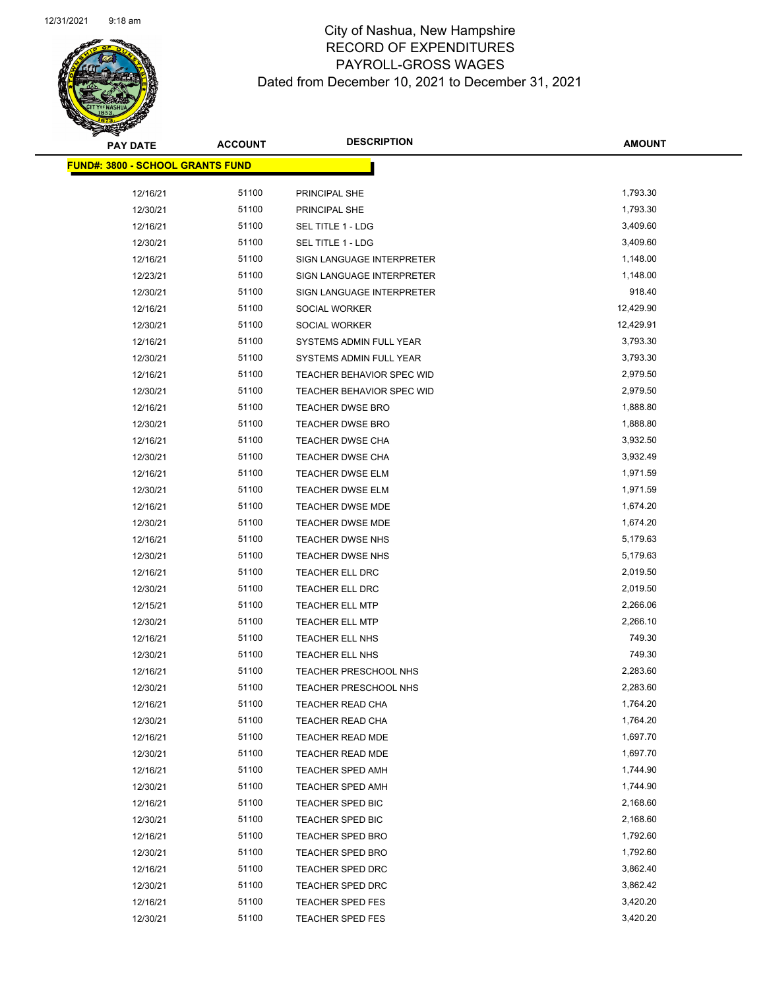

| <b>PAY DATE</b>                          | <b>ACCOUNT</b> | <b>DESCRIPTION</b>           | <b>AMOUNT</b> |
|------------------------------------------|----------------|------------------------------|---------------|
| <u> FUND#: 3800 - SCHOOL GRANTS FUND</u> |                |                              |               |
|                                          |                |                              |               |
| 12/16/21                                 | 51100          | PRINCIPAL SHE                | 1,793.30      |
| 12/30/21                                 | 51100          | PRINCIPAL SHE                | 1,793.30      |
| 12/16/21                                 | 51100          | SEL TITLE 1 - LDG            | 3,409.60      |
| 12/30/21                                 | 51100          | SEL TITLE 1 - LDG            | 3,409.60      |
| 12/16/21                                 | 51100          | SIGN LANGUAGE INTERPRETER    | 1,148.00      |
| 12/23/21                                 | 51100          | SIGN LANGUAGE INTERPRETER    | 1,148.00      |
| 12/30/21                                 | 51100          | SIGN LANGUAGE INTERPRETER    | 918.40        |
| 12/16/21                                 | 51100          | SOCIAL WORKER                | 12,429.90     |
| 12/30/21                                 | 51100          | SOCIAL WORKER                | 12,429.91     |
| 12/16/21                                 | 51100          | SYSTEMS ADMIN FULL YEAR      | 3,793.30      |
| 12/30/21                                 | 51100          | SYSTEMS ADMIN FULL YEAR      | 3,793.30      |
| 12/16/21                                 | 51100          | TEACHER BEHAVIOR SPEC WID    | 2,979.50      |
| 12/30/21                                 | 51100          | TEACHER BEHAVIOR SPEC WID    | 2,979.50      |
| 12/16/21                                 | 51100          | <b>TEACHER DWSE BRO</b>      | 1,888.80      |
| 12/30/21                                 | 51100          | <b>TEACHER DWSE BRO</b>      | 1,888.80      |
| 12/16/21                                 | 51100          | <b>TEACHER DWSE CHA</b>      | 3,932.50      |
| 12/30/21                                 | 51100          | TEACHER DWSE CHA             | 3,932.49      |
| 12/16/21                                 | 51100          | <b>TEACHER DWSE ELM</b>      | 1,971.59      |
| 12/30/21                                 | 51100          | <b>TEACHER DWSE ELM</b>      | 1,971.59      |
| 12/16/21                                 | 51100          | <b>TEACHER DWSE MDE</b>      | 1,674.20      |
| 12/30/21                                 | 51100          | <b>TEACHER DWSE MDE</b>      | 1,674.20      |
| 12/16/21                                 | 51100          | <b>TEACHER DWSE NHS</b>      | 5,179.63      |
| 12/30/21                                 | 51100          | <b>TEACHER DWSE NHS</b>      | 5,179.63      |
| 12/16/21                                 | 51100          | <b>TEACHER ELL DRC</b>       | 2,019.50      |
| 12/30/21                                 | 51100          | <b>TEACHER ELL DRC</b>       | 2,019.50      |
| 12/15/21                                 | 51100          | <b>TEACHER ELL MTP</b>       | 2,266.06      |
| 12/30/21                                 | 51100          | <b>TEACHER ELL MTP</b>       | 2,266.10      |
| 12/16/21                                 | 51100          | TEACHER ELL NHS              | 749.30        |
| 12/30/21                                 | 51100          | <b>TEACHER ELL NHS</b>       | 749.30        |
| 12/16/21                                 | 51100          | TEACHER PRESCHOOL NHS        | 2,283.60      |
| 12/30/21                                 | 51100          | <b>TEACHER PRESCHOOL NHS</b> | 2,283.60      |
| 12/16/21                                 | 51100          | <b>TEACHER READ CHA</b>      | 1,764.20      |
| 12/30/21                                 | 51100          | <b>TEACHER READ CHA</b>      | 1,764.20      |
| 12/16/21                                 | 51100          | TEACHER READ MDE             | 1,697.70      |
| 12/30/21                                 | 51100          | TEACHER READ MDE             | 1,697.70      |
| 12/16/21                                 | 51100          | <b>TEACHER SPED AMH</b>      | 1,744.90      |
| 12/30/21                                 | 51100          | <b>TEACHER SPED AMH</b>      | 1,744.90      |
| 12/16/21                                 | 51100          | TEACHER SPED BIC             | 2,168.60      |
| 12/30/21                                 | 51100          | <b>TEACHER SPED BIC</b>      | 2,168.60      |
| 12/16/21                                 | 51100          | <b>TEACHER SPED BRO</b>      | 1,792.60      |
| 12/30/21                                 | 51100          | TEACHER SPED BRO             | 1,792.60      |
| 12/16/21                                 | 51100          | <b>TEACHER SPED DRC</b>      | 3,862.40      |
| 12/30/21                                 | 51100          | TEACHER SPED DRC             | 3,862.42      |
| 12/16/21                                 | 51100          | <b>TEACHER SPED FES</b>      | 3,420.20      |
| 12/30/21                                 | 51100          | <b>TEACHER SPED FES</b>      | 3,420.20      |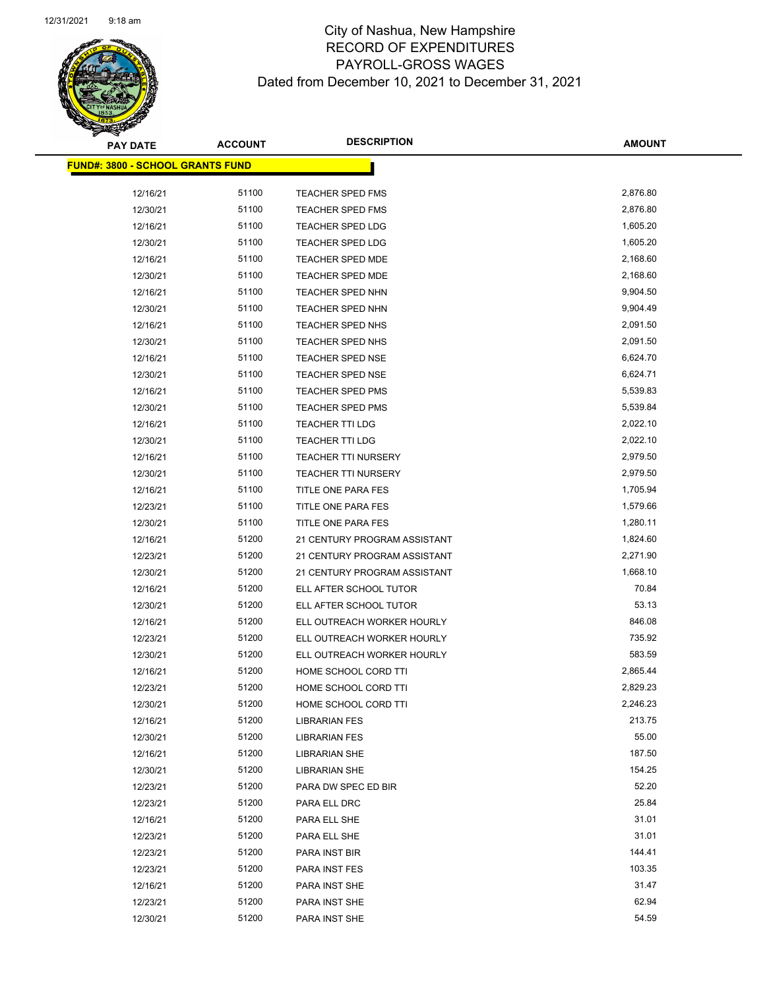

**AMOUNT**

 $\overline{\phantom{a}}$ 

| <u> FUND#: 3800 - SCHOOL GRANTS FUND</u> |       |                              |          |  |
|------------------------------------------|-------|------------------------------|----------|--|
| 12/16/21                                 | 51100 | TEACHER SPED FMS             | 2,876.80 |  |
| 12/30/21                                 | 51100 | <b>TEACHER SPED FMS</b>      | 2,876.80 |  |
| 12/16/21                                 | 51100 | <b>TEACHER SPED LDG</b>      | 1,605.20 |  |
| 12/30/21                                 | 51100 | TEACHER SPED LDG             | 1,605.20 |  |
| 12/16/21                                 | 51100 | <b>TEACHER SPED MDE</b>      | 2,168.60 |  |
| 12/30/21                                 | 51100 | <b>TEACHER SPED MDE</b>      | 2,168.60 |  |
| 12/16/21                                 | 51100 | <b>TEACHER SPED NHN</b>      | 9,904.50 |  |
| 12/30/21                                 | 51100 | <b>TEACHER SPED NHN</b>      | 9,904.49 |  |
| 12/16/21                                 | 51100 | <b>TEACHER SPED NHS</b>      | 2,091.50 |  |
| 12/30/21                                 | 51100 | <b>TEACHER SPED NHS</b>      | 2,091.50 |  |
| 12/16/21                                 | 51100 | <b>TEACHER SPED NSE</b>      | 6,624.70 |  |
| 12/30/21                                 | 51100 | <b>TEACHER SPED NSE</b>      | 6,624.71 |  |
| 12/16/21                                 | 51100 | <b>TEACHER SPED PMS</b>      | 5,539.83 |  |
| 12/30/21                                 | 51100 | <b>TEACHER SPED PMS</b>      | 5,539.84 |  |
| 12/16/21                                 | 51100 | <b>TEACHER TTI LDG</b>       | 2,022.10 |  |
| 12/30/21                                 | 51100 | TEACHER TTI LDG              | 2,022.10 |  |
| 12/16/21                                 | 51100 | <b>TEACHER TTI NURSERY</b>   | 2,979.50 |  |
| 12/30/21                                 | 51100 | <b>TEACHER TTI NURSERY</b>   | 2,979.50 |  |
| 12/16/21                                 | 51100 | TITLE ONE PARA FES           | 1,705.94 |  |
| 12/23/21                                 | 51100 | TITLE ONE PARA FES           | 1,579.66 |  |
| 12/30/21                                 | 51100 | TITLE ONE PARA FES           | 1,280.11 |  |
| 12/16/21                                 | 51200 | 21 CENTURY PROGRAM ASSISTANT | 1,824.60 |  |
| 12/23/21                                 | 51200 | 21 CENTURY PROGRAM ASSISTANT | 2,271.90 |  |
| 12/30/21                                 | 51200 | 21 CENTURY PROGRAM ASSISTANT | 1,668.10 |  |
| 12/16/21                                 | 51200 | ELL AFTER SCHOOL TUTOR       | 70.84    |  |
| 12/30/21                                 | 51200 | ELL AFTER SCHOOL TUTOR       | 53.13    |  |
| 12/16/21                                 | 51200 | ELL OUTREACH WORKER HOURLY   | 846.08   |  |
| 12/23/21                                 | 51200 | ELL OUTREACH WORKER HOURLY   | 735.92   |  |
| 12/30/21                                 | 51200 | ELL OUTREACH WORKER HOURLY   | 583.59   |  |
| 12/16/21                                 | 51200 | HOME SCHOOL CORD TTI         | 2,865.44 |  |
| 12/23/21                                 | 51200 | HOME SCHOOL CORD TTI         | 2,829.23 |  |
| 12/30/21                                 | 51200 | HOME SCHOOL CORD TTI         | 2,246.23 |  |
| 12/16/21                                 | 51200 | <b>LIBRARIAN FES</b>         | 213.75   |  |
| 12/30/21                                 | 51200 | <b>LIBRARIAN FES</b>         | 55.00    |  |
| 12/16/21                                 | 51200 | <b>LIBRARIAN SHE</b>         | 187.50   |  |
| 12/30/21                                 | 51200 | <b>LIBRARIAN SHE</b>         | 154.25   |  |
| 12/23/21                                 | 51200 | PARA DW SPEC ED BIR          | 52.20    |  |
| 12/23/21                                 | 51200 | PARA ELL DRC                 | 25.84    |  |
| 12/16/21                                 | 51200 | PARA ELL SHE                 | 31.01    |  |
| 12/23/21                                 | 51200 | PARA ELL SHE                 | 31.01    |  |
| 12/23/21                                 | 51200 | PARA INST BIR                | 144.41   |  |
| 12/23/21                                 | 51200 | PARA INST FES                | 103.35   |  |
| 12/16/21                                 | 51200 | PARA INST SHE                | 31.47    |  |
| 12/23/21                                 | 51200 | PARA INST SHE                | 62.94    |  |
| 12/30/21                                 | 51200 | PARA INST SHE                | 54.59    |  |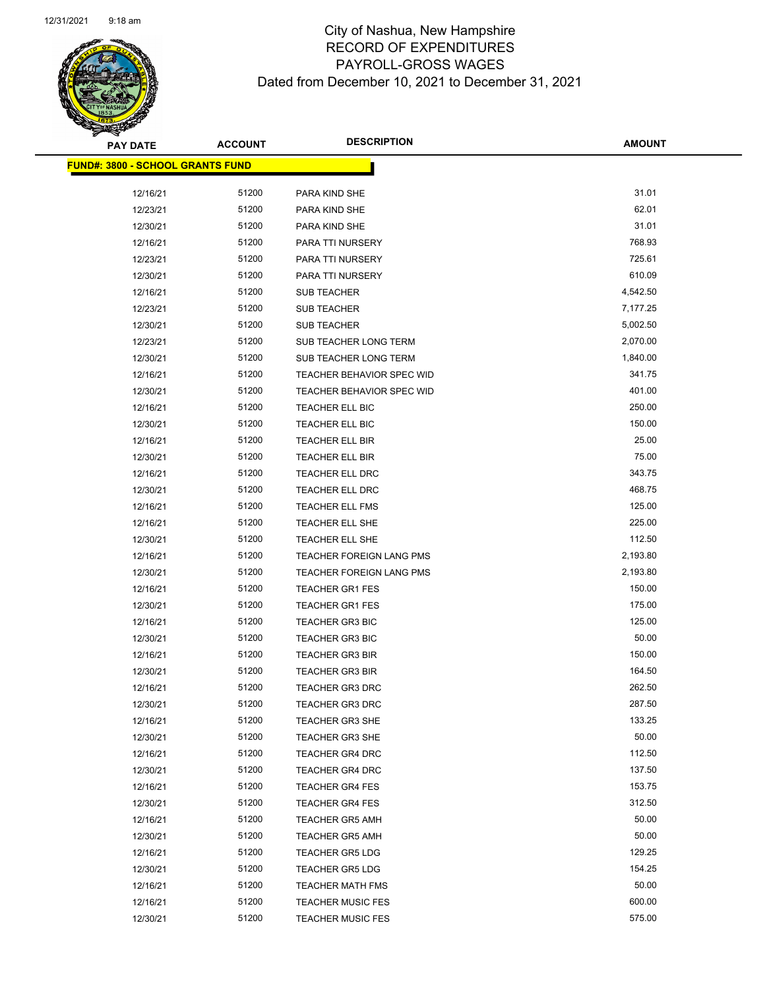

| <b>PAY DATE</b>                          | <b>ACCOUNT</b> | <b>DESCRIPTION</b>        | <b>AMOUNT</b> |
|------------------------------------------|----------------|---------------------------|---------------|
| <u> FUND#: 3800 - SCHOOL GRANTS FUND</u> |                |                           |               |
|                                          |                |                           |               |
| 12/16/21                                 | 51200          | PARA KIND SHE             | 31.01         |
| 12/23/21                                 | 51200          | PARA KIND SHE             | 62.01         |
| 12/30/21                                 | 51200          | PARA KIND SHE             | 31.01         |
| 12/16/21                                 | 51200          | PARA TTI NURSERY          | 768.93        |
| 12/23/21                                 | 51200          | PARA TTI NURSERY          | 725.61        |
| 12/30/21                                 | 51200          | PARA TTI NURSERY          | 610.09        |
| 12/16/21                                 | 51200          | <b>SUB TEACHER</b>        | 4,542.50      |
| 12/23/21                                 | 51200          | <b>SUB TEACHER</b>        | 7,177.25      |
| 12/30/21                                 | 51200          | <b>SUB TEACHER</b>        | 5,002.50      |
| 12/23/21                                 | 51200          | SUB TEACHER LONG TERM     | 2,070.00      |
| 12/30/21                                 | 51200          | SUB TEACHER LONG TERM     | 1,840.00      |
| 12/16/21                                 | 51200          | TEACHER BEHAVIOR SPEC WID | 341.75        |
| 12/30/21                                 | 51200          | TEACHER BEHAVIOR SPEC WID | 401.00        |
| 12/16/21                                 | 51200          | TEACHER ELL BIC           | 250.00        |
| 12/30/21                                 | 51200          | TEACHER ELL BIC           | 150.00        |
| 12/16/21                                 | 51200          | TEACHER ELL BIR           | 25.00         |
| 12/30/21                                 | 51200          | TEACHER ELL BIR           | 75.00         |
| 12/16/21                                 | 51200          | TEACHER ELL DRC           | 343.75        |
| 12/30/21                                 | 51200          | TEACHER ELL DRC           | 468.75        |
| 12/16/21                                 | 51200          | TEACHER ELL FMS           | 125.00        |
| 12/16/21                                 | 51200          | TEACHER ELL SHE           | 225.00        |
| 12/30/21                                 | 51200          | TEACHER ELL SHE           | 112.50        |
| 12/16/21                                 | 51200          | TEACHER FOREIGN LANG PMS  | 2,193.80      |
| 12/30/21                                 | 51200          | TEACHER FOREIGN LANG PMS  | 2,193.80      |
| 12/16/21                                 | 51200          | <b>TEACHER GR1 FES</b>    | 150.00        |
| 12/30/21                                 | 51200          | <b>TEACHER GR1 FES</b>    | 175.00        |
| 12/16/21                                 | 51200          | <b>TEACHER GR3 BIC</b>    | 125.00        |
| 12/30/21                                 | 51200          | <b>TEACHER GR3 BIC</b>    | 50.00         |
| 12/16/21                                 | 51200          | <b>TEACHER GR3 BIR</b>    | 150.00        |
| 12/30/21                                 | 51200          | <b>TEACHER GR3 BIR</b>    | 164.50        |
| 12/16/21                                 | 51200          | <b>TEACHER GR3 DRC</b>    | 262.50        |
| 12/30/21                                 | 51200          | <b>TEACHER GR3 DRC</b>    | 287.50        |
| 12/16/21                                 | 51200          | <b>TEACHER GR3 SHE</b>    | 133.25        |
| 12/30/21                                 | 51200          | <b>TEACHER GR3 SHE</b>    | 50.00         |
| 12/16/21                                 | 51200          | TEACHER GR4 DRC           | 112.50        |
| 12/30/21                                 | 51200          | <b>TEACHER GR4 DRC</b>    | 137.50        |
| 12/16/21                                 | 51200          | <b>TEACHER GR4 FES</b>    | 153.75        |
| 12/30/21                                 | 51200          | <b>TEACHER GR4 FES</b>    | 312.50        |
| 12/16/21                                 | 51200          | <b>TEACHER GR5 AMH</b>    | 50.00         |
| 12/30/21                                 | 51200          | <b>TEACHER GR5 AMH</b>    | 50.00         |
| 12/16/21                                 | 51200          | <b>TEACHER GR5 LDG</b>    | 129.25        |
| 12/30/21                                 | 51200          | <b>TEACHER GR5 LDG</b>    | 154.25        |
| 12/16/21                                 | 51200          | <b>TEACHER MATH FMS</b>   | 50.00         |
| 12/16/21                                 | 51200          | <b>TEACHER MUSIC FES</b>  | 600.00        |
| 12/30/21                                 | 51200          | <b>TEACHER MUSIC FES</b>  | 575.00        |
|                                          |                |                           |               |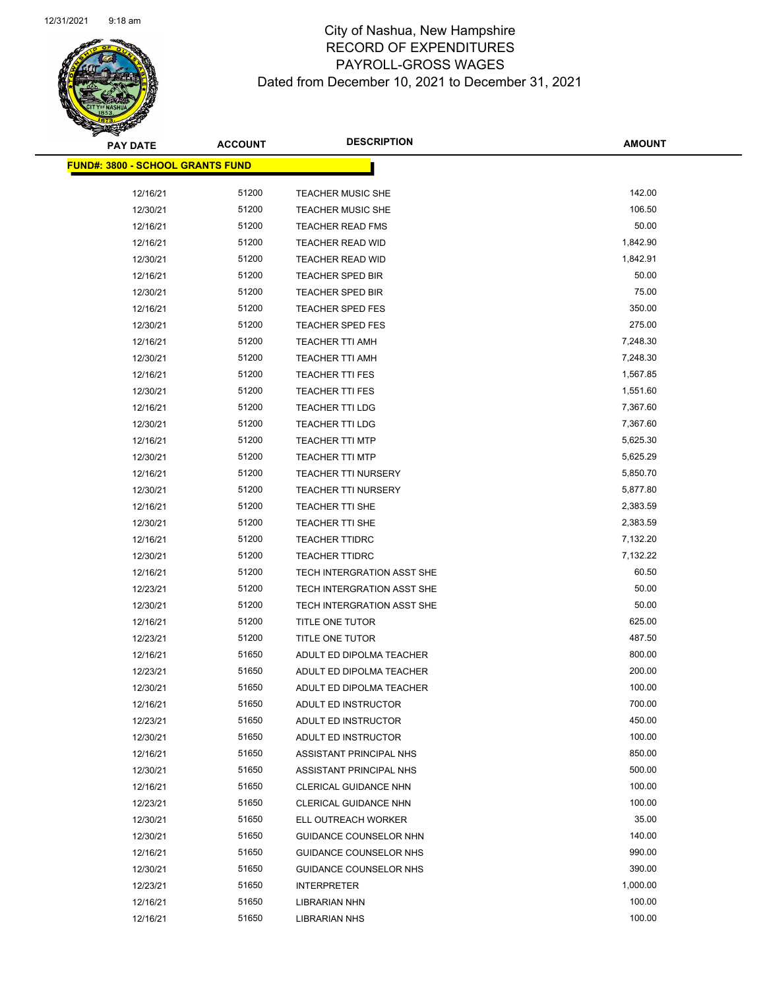

 $\overline{\phantom{a}}$ 

| <b>PAY DATE</b>                          | <b>ACCOUNT</b> | <b>DESCRIPTION</b>         | <b>AMOUNT</b> |
|------------------------------------------|----------------|----------------------------|---------------|
| <u> FUND#: 3800 - SCHOOL GRANTS FUND</u> |                |                            |               |
|                                          |                |                            |               |
| 12/16/21                                 | 51200          | <b>TEACHER MUSIC SHE</b>   | 142.00        |
| 12/30/21                                 | 51200          | <b>TEACHER MUSIC SHE</b>   | 106.50        |
| 12/16/21                                 | 51200          | <b>TEACHER READ FMS</b>    | 50.00         |
| 12/16/21                                 | 51200          | <b>TEACHER READ WID</b>    | 1,842.90      |
| 12/30/21                                 | 51200          | <b>TEACHER READ WID</b>    | 1,842.91      |
| 12/16/21                                 | 51200          | <b>TEACHER SPED BIR</b>    | 50.00         |
| 12/30/21                                 | 51200          | <b>TEACHER SPED BIR</b>    | 75.00         |
| 12/16/21                                 | 51200          | <b>TEACHER SPED FES</b>    | 350.00        |
| 12/30/21                                 | 51200          | <b>TEACHER SPED FES</b>    | 275.00        |
| 12/16/21                                 | 51200          | <b>TEACHER TTI AMH</b>     | 7,248.30      |
| 12/30/21                                 | 51200          | <b>TEACHER TTI AMH</b>     | 7,248.30      |
| 12/16/21                                 | 51200          | <b>TEACHER TTI FES</b>     | 1,567.85      |
| 12/30/21                                 | 51200          | <b>TEACHER TTI FES</b>     | 1,551.60      |
| 12/16/21                                 | 51200          | <b>TEACHER TTI LDG</b>     | 7,367.60      |
| 12/30/21                                 | 51200          | <b>TEACHER TTI LDG</b>     | 7,367.60      |
| 12/16/21                                 | 51200          | <b>TEACHER TTI MTP</b>     | 5,625.30      |
| 12/30/21                                 | 51200          | <b>TEACHER TTI MTP</b>     | 5,625.29      |
| 12/16/21                                 | 51200          | <b>TEACHER TTI NURSERY</b> | 5,850.70      |
| 12/30/21                                 | 51200          | <b>TEACHER TTI NURSERY</b> | 5,877.80      |
| 12/16/21                                 | 51200          | TEACHER TTI SHE            | 2,383.59      |
| 12/30/21                                 | 51200          | TEACHER TTI SHE            | 2,383.59      |
| 12/16/21                                 | 51200          | <b>TEACHER TTIDRC</b>      | 7,132.20      |
| 12/30/21                                 | 51200          | <b>TEACHER TTIDRC</b>      | 7,132.22      |
| 12/16/21                                 | 51200          | TECH INTERGRATION ASST SHE | 60.50         |
| 12/23/21                                 | 51200          | TECH INTERGRATION ASST SHE | 50.00         |
| 12/30/21                                 | 51200          | TECH INTERGRATION ASST SHE | 50.00         |
| 12/16/21                                 | 51200          | TITLE ONE TUTOR            | 625.00        |
| 12/23/21                                 | 51200          | TITLE ONE TUTOR            | 487.50        |
| 12/16/21                                 | 51650          | ADULT ED DIPOLMA TEACHER   | 800.00        |
| 12/23/21                                 | 51650          | ADULT ED DIPOLMA TEACHER   | 200.00        |
| 12/30/21                                 | 51650          | ADULT ED DIPOLMA TEACHER   | 100.00        |
| 12/16/21                                 | 51650          | ADULT ED INSTRUCTOR        | 700.00        |
| 12/23/21                                 | 51650          | ADULT ED INSTRUCTOR        | 450.00        |
| 12/30/21                                 | 51650          | ADULT ED INSTRUCTOR        | 100.00        |
| 12/16/21                                 | 51650          | ASSISTANT PRINCIPAL NHS    | 850.00        |
| 12/30/21                                 | 51650          | ASSISTANT PRINCIPAL NHS    | 500.00        |
| 12/16/21                                 | 51650          | CLERICAL GUIDANCE NHN      | 100.00        |
| 12/23/21                                 | 51650          | CLERICAL GUIDANCE NHN      | 100.00        |
| 12/30/21                                 | 51650          | ELL OUTREACH WORKER        | 35.00         |
| 12/30/21                                 | 51650          | GUIDANCE COUNSELOR NHN     | 140.00        |
| 12/16/21                                 | 51650          | GUIDANCE COUNSELOR NHS     | 990.00        |
| 12/30/21                                 | 51650          | GUIDANCE COUNSELOR NHS     | 390.00        |
| 12/23/21                                 | 51650          | <b>INTERPRETER</b>         | 1,000.00      |
| 12/16/21                                 | 51650          | <b>LIBRARIAN NHN</b>       | 100.00        |
| 12/16/21                                 | 51650          | <b>LIBRARIAN NHS</b>       | 100.00        |
|                                          |                |                            |               |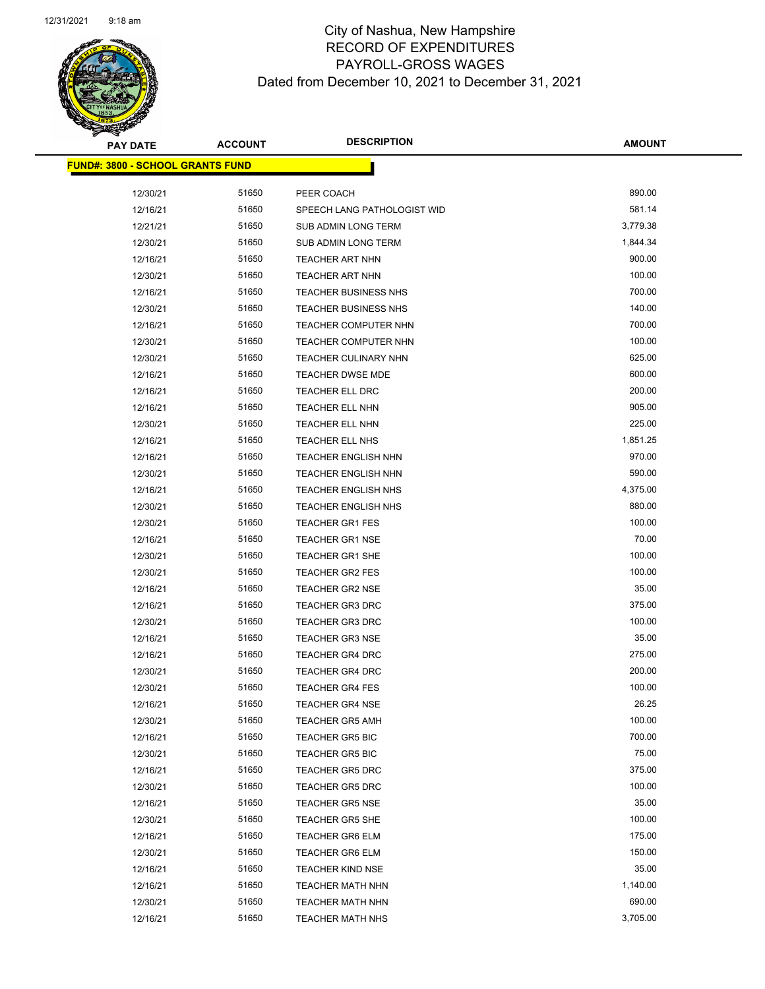

**AMOUNT**

| <u> FUND#: 3800 - SCHOOL GRANTS FUND</u> |       |                                           |          |
|------------------------------------------|-------|-------------------------------------------|----------|
|                                          | 51650 |                                           | 890.00   |
| 12/30/21<br>12/16/21                     | 51650 | PEER COACH<br>SPEECH LANG PATHOLOGIST WID | 581.14   |
| 12/21/21                                 | 51650 | SUB ADMIN LONG TERM                       | 3,779.38 |
| 12/30/21                                 | 51650 | SUB ADMIN LONG TERM                       | 1,844.34 |
| 12/16/21                                 | 51650 | TEACHER ART NHN                           | 900.00   |
| 12/30/21                                 | 51650 | TEACHER ART NHN                           | 100.00   |
| 12/16/21                                 | 51650 | <b>TEACHER BUSINESS NHS</b>               | 700.00   |
| 12/30/21                                 | 51650 | TEACHER BUSINESS NHS                      | 140.00   |
| 12/16/21                                 | 51650 | <b>TEACHER COMPUTER NHN</b>               | 700.00   |
| 12/30/21                                 | 51650 | <b>TEACHER COMPUTER NHN</b>               | 100.00   |
| 12/30/21                                 | 51650 | TEACHER CULINARY NHN                      | 625.00   |
| 12/16/21                                 | 51650 | <b>TEACHER DWSE MDE</b>                   | 600.00   |
| 12/16/21                                 | 51650 | TEACHER ELL DRC                           | 200.00   |
| 12/16/21                                 | 51650 | TEACHER ELL NHN                           | 905.00   |
| 12/30/21                                 | 51650 | TEACHER ELL NHN                           | 225.00   |
| 12/16/21                                 | 51650 | TEACHER ELL NHS                           | 1,851.25 |
| 12/16/21                                 | 51650 | <b>TEACHER ENGLISH NHN</b>                | 970.00   |
| 12/30/21                                 | 51650 | <b>TEACHER ENGLISH NHN</b>                | 590.00   |
| 12/16/21                                 | 51650 | <b>TEACHER ENGLISH NHS</b>                | 4,375.00 |
| 12/30/21                                 | 51650 | <b>TEACHER ENGLISH NHS</b>                | 880.00   |
| 12/30/21                                 | 51650 | TEACHER GR1 FES                           | 100.00   |
| 12/16/21                                 | 51650 | <b>TEACHER GR1 NSE</b>                    | 70.00    |
| 12/30/21                                 | 51650 | <b>TEACHER GR1 SHE</b>                    | 100.00   |
| 12/30/21                                 | 51650 | TEACHER GR2 FES                           | 100.00   |
| 12/16/21                                 | 51650 | <b>TEACHER GR2 NSE</b>                    | 35.00    |
| 12/16/21                                 | 51650 | <b>TEACHER GR3 DRC</b>                    | 375.00   |
| 12/30/21                                 | 51650 | <b>TEACHER GR3 DRC</b>                    | 100.00   |
| 12/16/21                                 | 51650 | <b>TEACHER GR3 NSE</b>                    | 35.00    |
| 12/16/21                                 | 51650 | <b>TEACHER GR4 DRC</b>                    | 275.00   |
| 12/30/21                                 | 51650 | TEACHER GR4 DRC                           | 200.00   |
| 12/30/21                                 | 51650 | <b>TEACHER GR4 FES</b>                    | 100.00   |
| 12/16/21                                 | 51650 | <b>TEACHER GR4 NSE</b>                    | 26.25    |
| 12/30/21                                 | 51650 | <b>TEACHER GR5 AMH</b>                    | 100.00   |
| 12/16/21                                 | 51650 | <b>TEACHER GR5 BIC</b>                    | 700.00   |
| 12/30/21                                 | 51650 | <b>TEACHER GR5 BIC</b>                    | 75.00    |
| 12/16/21                                 | 51650 | <b>TEACHER GR5 DRC</b>                    | 375.00   |
| 12/30/21                                 | 51650 | <b>TEACHER GR5 DRC</b>                    | 100.00   |
| 12/16/21                                 | 51650 | <b>TEACHER GR5 NSE</b>                    | 35.00    |
| 12/30/21                                 | 51650 | <b>TEACHER GR5 SHE</b>                    | 100.00   |
| 12/16/21                                 | 51650 | <b>TEACHER GR6 ELM</b>                    | 175.00   |
| 12/30/21                                 | 51650 | <b>TEACHER GR6 ELM</b>                    | 150.00   |
| 12/16/21                                 | 51650 | <b>TEACHER KIND NSE</b>                   | 35.00    |
| 12/16/21                                 | 51650 | <b>TEACHER MATH NHN</b>                   | 1,140.00 |
| 12/30/21                                 | 51650 | <b>TEACHER MATH NHN</b>                   | 690.00   |
| 12/16/21                                 | 51650 | <b>TEACHER MATH NHS</b>                   | 3,705.00 |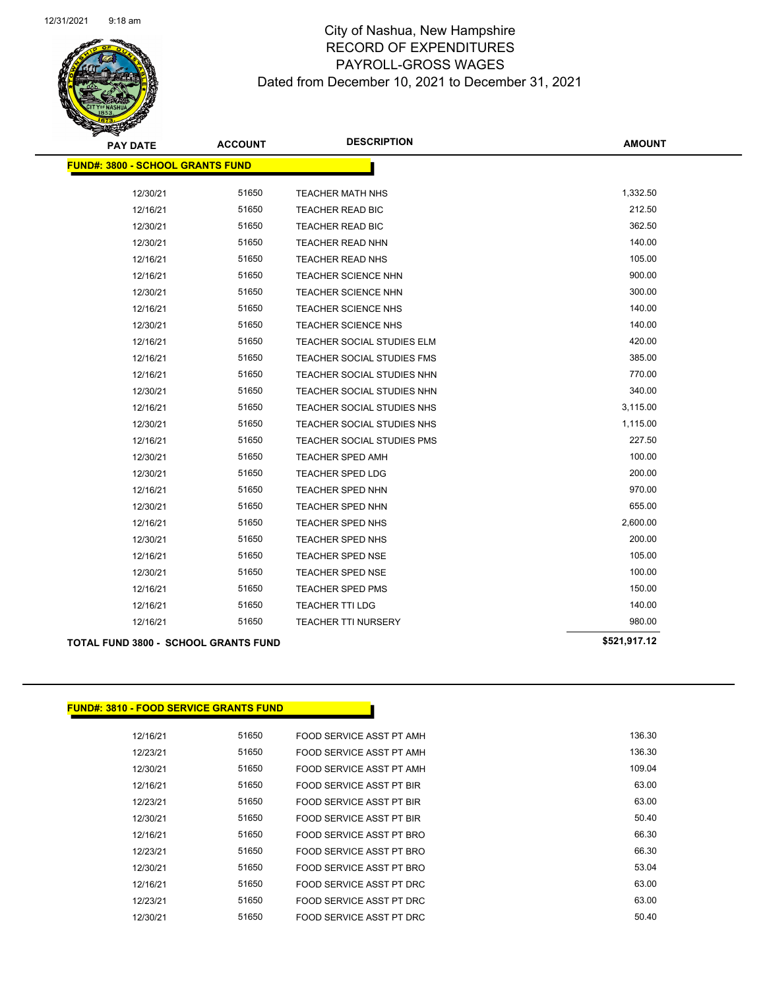

| <b>PAY DATE</b>                         | <b>ACCOUNT</b> | <b>DESCRIPTION</b>                | <b>AMOUNT</b> |
|-----------------------------------------|----------------|-----------------------------------|---------------|
| <b>FUND#: 3800 - SCHOOL GRANTS FUND</b> |                |                                   |               |
| 12/30/21                                | 51650          | <b>TEACHER MATH NHS</b>           | 1,332.50      |
| 12/16/21                                | 51650          | <b>TEACHER READ BIC</b>           | 212.50        |
| 12/30/21                                | 51650          | TEACHER READ BIC                  | 362.50        |
| 12/30/21                                | 51650          | <b>TEACHER READ NHN</b>           | 140.00        |
| 12/16/21                                | 51650          | <b>TEACHER READ NHS</b>           | 105.00        |
| 12/16/21                                | 51650          | <b>TEACHER SCIENCE NHN</b>        | 900.00        |
| 12/30/21                                | 51650          | <b>TEACHER SCIENCE NHN</b>        | 300.00        |
| 12/16/21                                | 51650          | <b>TEACHER SCIENCE NHS</b>        | 140.00        |
| 12/30/21                                | 51650          | TEACHER SCIENCE NHS               | 140.00        |
| 12/16/21                                | 51650          | <b>TEACHER SOCIAL STUDIES ELM</b> | 420.00        |
| 12/16/21                                | 51650          | TEACHER SOCIAL STUDIES FMS        | 385.00        |
| 12/16/21                                | 51650          | TEACHER SOCIAL STUDIES NHN        | 770.00        |
| 12/30/21                                | 51650          | TEACHER SOCIAL STUDIES NHN        | 340.00        |
| 12/16/21                                | 51650          | TEACHER SOCIAL STUDIES NHS        | 3,115.00      |
| 12/30/21                                | 51650          | TEACHER SOCIAL STUDIES NHS        | 1,115.00      |
| 12/16/21                                | 51650          | TEACHER SOCIAL STUDIES PMS        | 227.50        |
| 12/30/21                                | 51650          | <b>TEACHER SPED AMH</b>           | 100.00        |
| 12/30/21                                | 51650          | <b>TEACHER SPED LDG</b>           | 200.00        |
| 12/16/21                                | 51650          | TEACHER SPED NHN                  | 970.00        |
| 12/30/21                                | 51650          | TEACHER SPED NHN                  | 655.00        |
| 12/16/21                                | 51650          | TEACHER SPED NHS                  | 2,600.00      |
| 12/30/21                                | 51650          | TEACHER SPED NHS                  | 200.00        |
| 12/16/21                                | 51650          | <b>TEACHER SPED NSE</b>           | 105.00        |
| 12/30/21                                | 51650          | <b>TEACHER SPED NSE</b>           | 100.00        |
| 12/16/21                                | 51650          | <b>TEACHER SPED PMS</b>           | 150.00        |
| 12/16/21                                | 51650          | <b>TEACHER TTI LDG</b>            | 140.00        |
| 12/16/21                                | 51650          | <b>TEACHER TTI NURSERY</b>        | 980.00        |
| TOTAL FUND 3800 - SCHOOL GRANTS FUND    |                |                                   | \$521,917.12  |

#### **FUND#: 3810 - FOOD SERVICE GRANTS FUND**

| 136.30 | FOOD SERVICE ASST PT AMH | 51650 | 12/16/21 |
|--------|--------------------------|-------|----------|
| 136.30 | FOOD SERVICE ASST PT AMH | 51650 | 12/23/21 |
| 109.04 | FOOD SERVICE ASST PT AMH | 51650 | 12/30/21 |
| 63.00  | FOOD SERVICE ASST PT BIR | 51650 | 12/16/21 |
| 63.00  | FOOD SERVICE ASST PT BIR | 51650 | 12/23/21 |
| 50.40  | FOOD SERVICE ASST PT BIR | 51650 | 12/30/21 |
| 66.30  | FOOD SERVICE ASST PT BRO | 51650 | 12/16/21 |
| 66.30  | FOOD SERVICE ASST PT BRO | 51650 | 12/23/21 |
| 53.04  | FOOD SERVICE ASST PT BRO | 51650 | 12/30/21 |
| 63.00  | FOOD SERVICE ASST PT DRC | 51650 | 12/16/21 |
| 63.00  | FOOD SERVICE ASST PT DRC | 51650 | 12/23/21 |
| 50.40  | FOOD SERVICE ASST PT DRC | 51650 | 12/30/21 |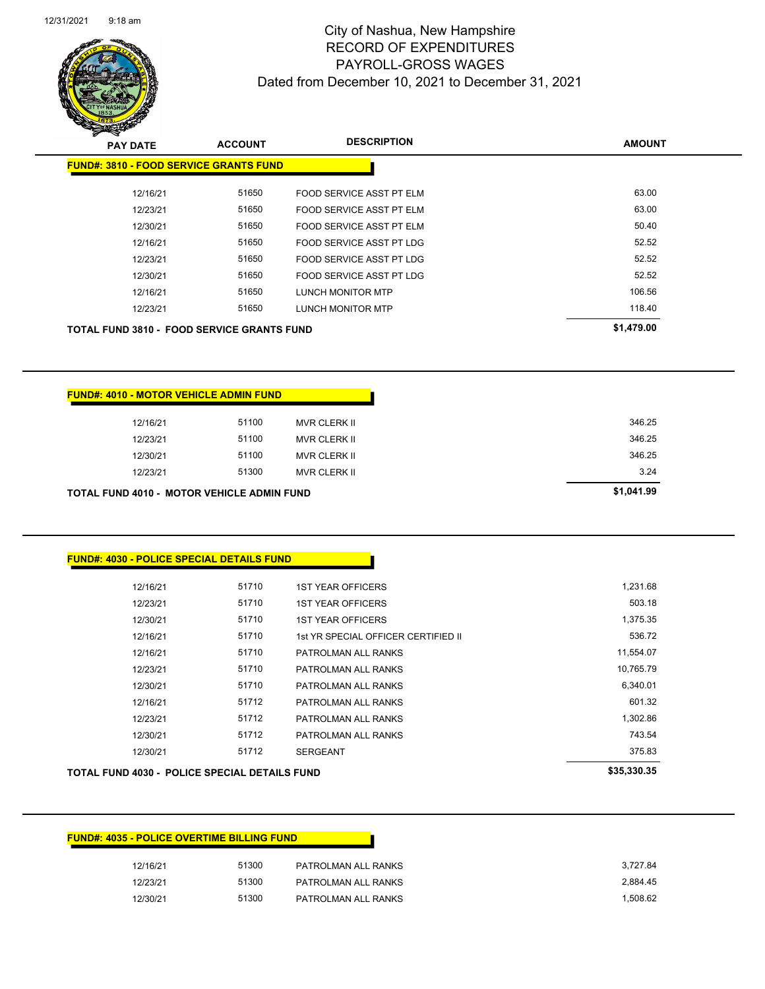| 12/16/21 | 51300 | PATROLMAN ALL RANKS | 3.727.84 |
|----------|-------|---------------------|----------|
| 12/23/21 | 51300 | PATROLMAN ALL RANKS | 2.884.45 |
| 12/30/21 | 51300 | PATROLMAN ALL RANKS | 1.508.62 |

#### **FUND#: 4035 - POLICE OVERTIME BILLING FUND**

**FUND#: 4030 - POLICE SPECIAL DETAILS FUND**

| 12/16/21                                             | 51710 | <b>1ST YEAR OFFICERS</b>            | 1,231.68    |
|------------------------------------------------------|-------|-------------------------------------|-------------|
| 12/23/21                                             | 51710 | <b>1ST YEAR OFFICERS</b>            | 503.18      |
| 12/30/21                                             | 51710 | <b>1ST YEAR OFFICERS</b>            | 1,375.35    |
| 12/16/21                                             | 51710 | 1st YR SPECIAL OFFICER CERTIFIED II | 536.72      |
| 12/16/21                                             | 51710 | PATROLMAN ALL RANKS                 | 11,554.07   |
| 12/23/21                                             | 51710 | PATROLMAN ALL RANKS                 | 10,765.79   |
| 12/30/21                                             | 51710 | PATROLMAN ALL RANKS                 | 6,340.01    |
| 12/16/21                                             | 51712 | PATROLMAN ALL RANKS                 | 601.32      |
| 12/23/21                                             | 51712 | PATROLMAN ALL RANKS                 | 1,302.86    |
| 12/30/21                                             | 51712 | PATROLMAN ALL RANKS                 | 743.54      |
| 12/30/21                                             | 51712 | <b>SERGEANT</b>                     | 375.83      |
| <b>TOTAL FUND 4030 - POLICE SPECIAL DETAILS FUND</b> |       |                                     | \$35,330.35 |

|                                                   | <b>FUND#: 4010 - MOTOR VEHICLE ADMIN FUND</b> |       |                     |
|---------------------------------------------------|-----------------------------------------------|-------|---------------------|
|                                                   | 12/16/21                                      | 51100 | <b>MVR CLERK II</b> |
|                                                   | 12/23/21                                      | 51100 | MVR CLERK II        |
|                                                   | 12/30/21                                      | 51100 | <b>MVR CLERK II</b> |
|                                                   | 12/23/21                                      | 51300 | <b>MVR CLERK II</b> |
| <b>TOTAL FUND 4010 - MOTOR VEHICLE ADMIN FUND</b> |                                               |       |                     |

| <b>TOTAL FUND 3810 - FOOD SERVICE GRANTS FUND</b> | \$1,479.00 |                           |        |
|---------------------------------------------------|------------|---------------------------|--------|
| 12/23/21                                          | 51650      | <b>LUNCH MONITOR MTP</b>  | 118.40 |
| 12/16/21                                          | 51650      | <b>LUNCH MONITOR MTP</b>  | 106.56 |
| 12/30/21                                          | 51650      | FOOD SERVICE ASST PT LDG  | 52.52  |
| 12/23/21                                          | 51650      | FOOD SERVICE ASST PT LDG  | 52.52  |
| 12/16/21                                          | 51650      | FOOD SERVICE ASST PT LDG  | 52.52  |
| 12/30/21                                          | 51650      | FOOD SERVICE ASST PT ELM  | 50.40  |
| 12/23/21                                          | 51650      | FOOD SERVICE ASST PT ELM  | 63.00  |
| 2/10/Z                                            | טכסו כ     | FUULL SERVILE ASST FT ELM | OJ.UU  |

# **PAY DATE ACCOUNT DESCRIPTION FUND#: 3810 - FOOD SERVICE GRANTS FUND** 12/16/21 51650 FOOD SERVICE ASST PT ELM 63.00

#### City of Nashua, New Hampshire RECORD OF EXPENDITURES PAYROLL-GROSS WAGES Dated from December 10, 2021 to December 31, 2021

Page 139 of 146

**AMOUNT**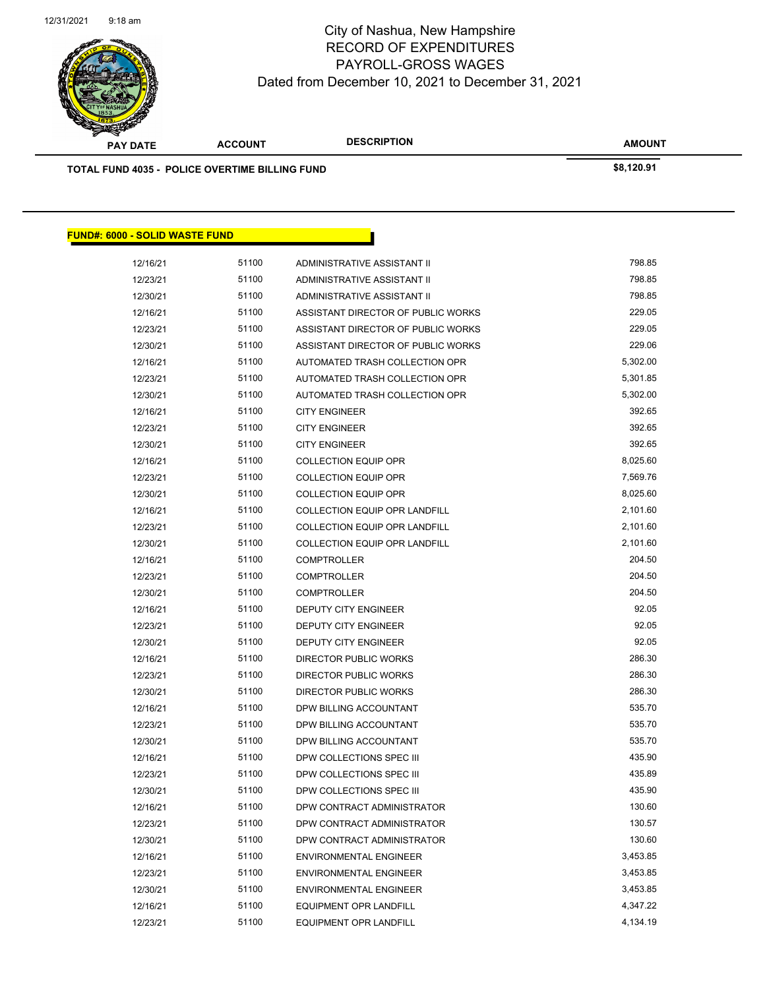

| <u> FUND#: 6000 - SOLID WASTE FUND</u> |       |                                      |          |
|----------------------------------------|-------|--------------------------------------|----------|
| 12/16/21                               | 51100 | ADMINISTRATIVE ASSISTANT II          | 798.85   |
| 12/23/21                               | 51100 | ADMINISTRATIVE ASSISTANT II          | 798.85   |
| 12/30/21                               | 51100 | ADMINISTRATIVE ASSISTANT II          | 798.85   |
| 12/16/21                               | 51100 | ASSISTANT DIRECTOR OF PUBLIC WORKS   | 229.05   |
| 12/23/21                               | 51100 | ASSISTANT DIRECTOR OF PUBLIC WORKS   | 229.05   |
| 12/30/21                               | 51100 | ASSISTANT DIRECTOR OF PUBLIC WORKS   | 229.06   |
| 12/16/21                               | 51100 | AUTOMATED TRASH COLLECTION OPR       | 5,302.00 |
| 12/23/21                               | 51100 | AUTOMATED TRASH COLLECTION OPR       | 5,301.85 |
| 12/30/21                               | 51100 | AUTOMATED TRASH COLLECTION OPR       | 5,302.00 |
| 12/16/21                               | 51100 | <b>CITY ENGINEER</b>                 | 392.65   |
| 12/23/21                               | 51100 | <b>CITY ENGINEER</b>                 | 392.65   |
| 12/30/21                               | 51100 | <b>CITY ENGINEER</b>                 | 392.65   |
| 12/16/21                               | 51100 | <b>COLLECTION EQUIP OPR</b>          | 8,025.60 |
| 12/23/21                               | 51100 | <b>COLLECTION EQUIP OPR</b>          | 7,569.76 |
| 12/30/21                               | 51100 | <b>COLLECTION EQUIP OPR</b>          | 8,025.60 |
| 12/16/21                               | 51100 | <b>COLLECTION EQUIP OPR LANDFILL</b> | 2,101.60 |
| 12/23/21                               | 51100 | COLLECTION EQUIP OPR LANDFILL        | 2,101.60 |
| 12/30/21                               | 51100 | <b>COLLECTION EQUIP OPR LANDFILL</b> | 2,101.60 |
| 12/16/21                               | 51100 | <b>COMPTROLLER</b>                   | 204.50   |
| 12/23/21                               | 51100 | <b>COMPTROLLER</b>                   | 204.50   |
| 12/30/21                               | 51100 | <b>COMPTROLLER</b>                   | 204.50   |
| 12/16/21                               | 51100 | DEPUTY CITY ENGINEER                 | 92.05    |
| 12/23/21                               | 51100 | DEPUTY CITY ENGINEER                 | 92.05    |
| 12/30/21                               | 51100 | DEPUTY CITY ENGINEER                 | 92.05    |
| 12/16/21                               | 51100 | DIRECTOR PUBLIC WORKS                | 286.30   |
| 12/23/21                               | 51100 | DIRECTOR PUBLIC WORKS                | 286.30   |
| 12/30/21                               | 51100 | DIRECTOR PUBLIC WORKS                | 286.30   |
| 12/16/21                               | 51100 | DPW BILLING ACCOUNTANT               | 535.70   |
| 12/23/21                               | 51100 | DPW BILLING ACCOUNTANT               | 535.70   |
| 12/30/21                               | 51100 | DPW BILLING ACCOUNTANT               | 535.70   |
| 12/16/21                               | 51100 | DPW COLLECTIONS SPEC III             | 435.90   |
| 12/23/21                               | 51100 | DPW COLLECTIONS SPEC III             | 435.89   |
| 12/30/21                               | 51100 | DPW COLLECTIONS SPEC III             | 435.90   |
| 12/16/21                               | 51100 | DPW CONTRACT ADMINISTRATOR           | 130.60   |
| 12/23/21                               | 51100 | DPW CONTRACT ADMINISTRATOR           | 130.57   |
| 12/30/21                               | 51100 | DPW CONTRACT ADMINISTRATOR           | 130.60   |
| 12/16/21                               | 51100 | <b>ENVIRONMENTAL ENGINEER</b>        | 3,453.85 |
| 12/23/21                               | 51100 | <b>ENVIRONMENTAL ENGINEER</b>        | 3,453.85 |
| 12/30/21                               | 51100 | <b>ENVIRONMENTAL ENGINEER</b>        | 3,453.85 |
| 12/16/21                               | 51100 | EQUIPMENT OPR LANDFILL               | 4,347.22 |
| 12/23/21                               | 51100 | <b>EQUIPMENT OPR LANDFILL</b>        | 4,134.19 |
|                                        |       |                                      |          |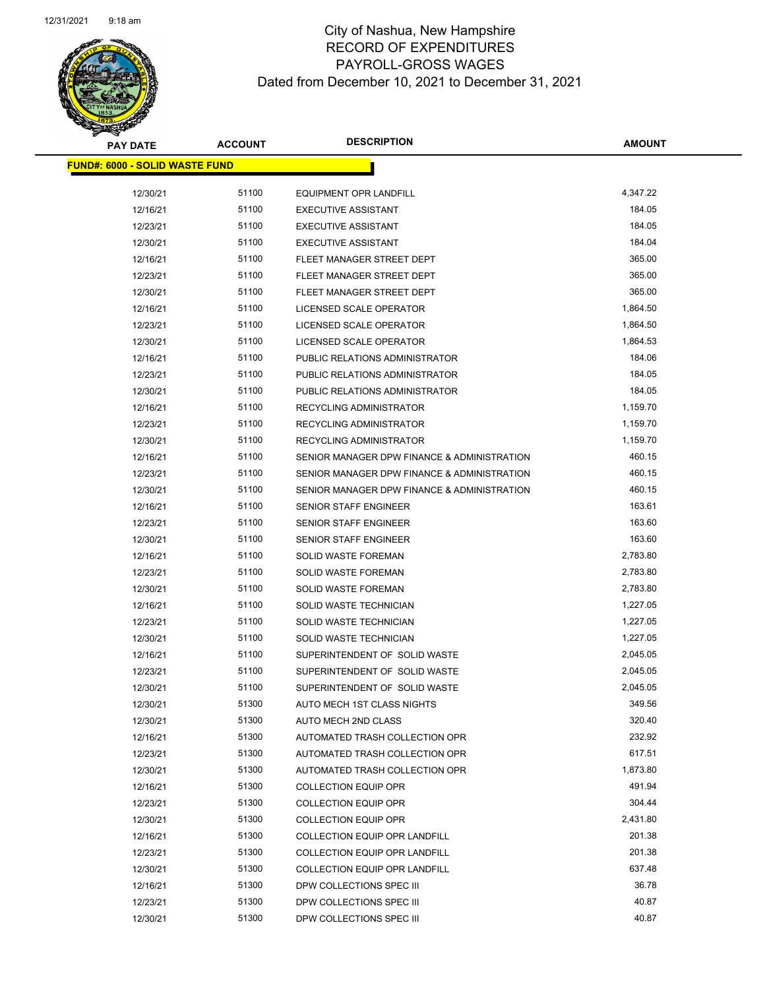

| <b>PAY DATE</b>                        | <b>ACCOUNT</b> | <b>DESCRIPTION</b>                          | <b>AMOUNT</b> |
|----------------------------------------|----------------|---------------------------------------------|---------------|
| <u> FUND#: 6000 - SOLID WASTE FUND</u> |                |                                             |               |
|                                        |                |                                             |               |
| 12/30/21                               | 51100          | <b>EQUIPMENT OPR LANDFILL</b>               | 4,347.22      |
| 12/16/21                               | 51100          | <b>EXECUTIVE ASSISTANT</b>                  | 184.05        |
| 12/23/21                               | 51100          | <b>EXECUTIVE ASSISTANT</b>                  | 184.05        |
| 12/30/21                               | 51100          | <b>EXECUTIVE ASSISTANT</b>                  | 184.04        |
| 12/16/21                               | 51100          | FLEET MANAGER STREET DEPT                   | 365.00        |
| 12/23/21                               | 51100          | FLEET MANAGER STREET DEPT                   | 365.00        |
| 12/30/21                               | 51100          | FLEET MANAGER STREET DEPT                   | 365.00        |
| 12/16/21                               | 51100          | LICENSED SCALE OPERATOR                     | 1,864.50      |
| 12/23/21                               | 51100          | LICENSED SCALE OPERATOR                     | 1,864.50      |
| 12/30/21                               | 51100          | LICENSED SCALE OPERATOR                     | 1,864.53      |
| 12/16/21                               | 51100          | PUBLIC RELATIONS ADMINISTRATOR              | 184.06        |
| 12/23/21                               | 51100          | PUBLIC RELATIONS ADMINISTRATOR              | 184.05        |
| 12/30/21                               | 51100          | PUBLIC RELATIONS ADMINISTRATOR              | 184.05        |
| 12/16/21                               | 51100          | RECYCLING ADMINISTRATOR                     | 1,159.70      |
| 12/23/21                               | 51100          | RECYCLING ADMINISTRATOR                     | 1,159.70      |
| 12/30/21                               | 51100          | RECYCLING ADMINISTRATOR                     | 1,159.70      |
| 12/16/21                               | 51100          | SENIOR MANAGER DPW FINANCE & ADMINISTRATION | 460.15        |
| 12/23/21                               | 51100          | SENIOR MANAGER DPW FINANCE & ADMINISTRATION | 460.15        |
| 12/30/21                               | 51100          | SENIOR MANAGER DPW FINANCE & ADMINISTRATION | 460.15        |
| 12/16/21                               | 51100          | SENIOR STAFF ENGINEER                       | 163.61        |
| 12/23/21                               | 51100          | SENIOR STAFF ENGINEER                       | 163.60        |
| 12/30/21                               | 51100          | <b>SENIOR STAFF ENGINEER</b>                | 163.60        |
| 12/16/21                               | 51100          | SOLID WASTE FOREMAN                         | 2,783.80      |
| 12/23/21                               | 51100          | SOLID WASTE FOREMAN                         | 2,783.80      |
| 12/30/21                               | 51100          | SOLID WASTE FOREMAN                         | 2,783.80      |
| 12/16/21                               | 51100          | SOLID WASTE TECHNICIAN                      | 1,227.05      |
| 12/23/21                               | 51100          | SOLID WASTE TECHNICIAN                      | 1,227.05      |
| 12/30/21                               | 51100          | SOLID WASTE TECHNICIAN                      | 1,227.05      |
| 12/16/21                               | 51100          | SUPERINTENDENT OF SOLID WASTE               | 2,045.05      |
| 12/23/21                               | 51100          | SUPERINTENDENT OF SOLID WASTE               | 2,045.05      |
| 12/30/21                               | 51100          | SUPERINTENDENT OF SOLID WASTE               | 2,045.05      |
| 12/30/21                               | 51300          | AUTO MECH 1ST CLASS NIGHTS                  | 349.56        |
| 12/30/21                               | 51300          | AUTO MECH 2ND CLASS                         | 320.40        |
| 12/16/21                               | 51300          | AUTOMATED TRASH COLLECTION OPR              | 232.92        |
| 12/23/21                               | 51300          | AUTOMATED TRASH COLLECTION OPR              | 617.51        |
| 12/30/21                               | 51300          | AUTOMATED TRASH COLLECTION OPR              | 1,873.80      |
| 12/16/21                               | 51300          | <b>COLLECTION EQUIP OPR</b>                 | 491.94        |
| 12/23/21                               | 51300          | <b>COLLECTION EQUIP OPR</b>                 | 304.44        |
| 12/30/21                               | 51300          | <b>COLLECTION EQUIP OPR</b>                 | 2,431.80      |
| 12/16/21                               | 51300          | <b>COLLECTION EQUIP OPR LANDFILL</b>        | 201.38        |
| 12/23/21                               | 51300          | COLLECTION EQUIP OPR LANDFILL               | 201.38        |
| 12/30/21                               | 51300          | COLLECTION EQUIP OPR LANDFILL               | 637.48        |
| 12/16/21                               | 51300          | DPW COLLECTIONS SPEC III                    | 36.78         |
| 12/23/21                               | 51300          | DPW COLLECTIONS SPEC III                    | 40.87         |
| 12/30/21                               | 51300          | DPW COLLECTIONS SPEC III                    | 40.87         |
|                                        |                |                                             |               |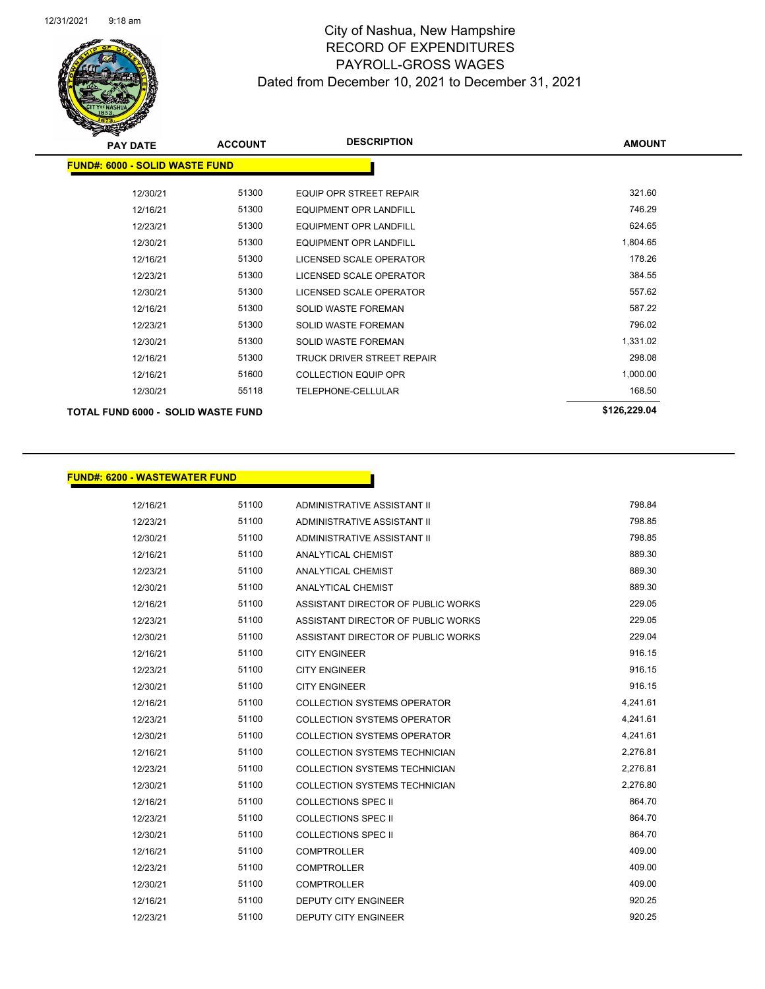

| <b>PAY DATE</b>                       | <b>ACCOUNT</b> | <b>DESCRIPTION</b>            | <b>AMOUNT</b> |
|---------------------------------------|----------------|-------------------------------|---------------|
| <b>FUND#: 6000 - SOLID WASTE FUND</b> |                |                               |               |
| 12/30/21                              | 51300          | EQUIP OPR STREET REPAIR       | 321.60        |
| 12/16/21                              | 51300          | <b>EQUIPMENT OPR LANDFILL</b> | 746.29        |
| 12/23/21                              | 51300          | <b>EQUIPMENT OPR LANDFILL</b> | 624.65        |
| 12/30/21                              | 51300          | <b>EQUIPMENT OPR LANDFILL</b> | 1,804.65      |
| 12/16/21                              | 51300          | LICENSED SCALE OPERATOR       | 178.26        |
| 12/23/21                              | 51300          | LICENSED SCALE OPERATOR       | 384.55        |
| 12/30/21                              | 51300          | LICENSED SCALE OPERATOR       | 557.62        |
| 12/16/21                              | 51300          | <b>SOLID WASTE FOREMAN</b>    | 587.22        |
| 12/23/21                              | 51300          | <b>SOLID WASTE FOREMAN</b>    | 796.02        |
| 12/30/21                              | 51300          | <b>SOLID WASTE FOREMAN</b>    | 1,331.02      |
| 12/16/21                              | 51300          | TRUCK DRIVER STREET REPAIR    | 298.08        |
| 12/16/21                              | 51600          | <b>COLLECTION EQUIP OPR</b>   | 1,000.00      |
| 12/30/21                              | 55118          | <b>TELEPHONE-CELLULAR</b>     | 168.50        |
| TOTAL FUND 6000 - SOLID WASTE FUND    |                |                               | \$126,229.04  |

#### **FUND#: 6200 - WASTEWATER FUND**

| 12/16/21 | 51100 | ADMINISTRATIVE ASSISTANT II          | 798.84   |
|----------|-------|--------------------------------------|----------|
| 12/23/21 | 51100 | ADMINISTRATIVE ASSISTANT II          | 798.85   |
| 12/30/21 | 51100 | ADMINISTRATIVE ASSISTANT II          | 798.85   |
| 12/16/21 | 51100 | <b>ANALYTICAL CHEMIST</b>            | 889.30   |
| 12/23/21 | 51100 | <b>ANALYTICAL CHEMIST</b>            | 889.30   |
| 12/30/21 | 51100 | ANALYTICAL CHEMIST                   | 889.30   |
| 12/16/21 | 51100 | ASSISTANT DIRECTOR OF PUBLIC WORKS   | 229.05   |
| 12/23/21 | 51100 | ASSISTANT DIRECTOR OF PUBLIC WORKS   | 229.05   |
| 12/30/21 | 51100 | ASSISTANT DIRECTOR OF PUBLIC WORKS   | 229.04   |
| 12/16/21 | 51100 | <b>CITY ENGINEER</b>                 | 916.15   |
| 12/23/21 | 51100 | <b>CITY ENGINEER</b>                 | 916.15   |
| 12/30/21 | 51100 | <b>CITY ENGINEER</b>                 | 916.15   |
| 12/16/21 | 51100 | <b>COLLECTION SYSTEMS OPERATOR</b>   | 4,241.61 |
| 12/23/21 | 51100 | <b>COLLECTION SYSTEMS OPERATOR</b>   | 4,241.61 |
| 12/30/21 | 51100 | <b>COLLECTION SYSTEMS OPERATOR</b>   | 4,241.61 |
| 12/16/21 | 51100 | <b>COLLECTION SYSTEMS TECHNICIAN</b> | 2,276.81 |
| 12/23/21 | 51100 | COLLECTION SYSTEMS TECHNICIAN        | 2,276.81 |
| 12/30/21 | 51100 | <b>COLLECTION SYSTEMS TECHNICIAN</b> | 2,276.80 |
| 12/16/21 | 51100 | <b>COLLECTIONS SPEC II</b>           | 864.70   |
| 12/23/21 | 51100 | <b>COLLECTIONS SPEC II</b>           | 864.70   |
| 12/30/21 | 51100 | <b>COLLECTIONS SPEC II</b>           | 864.70   |
| 12/16/21 | 51100 | <b>COMPTROLLER</b>                   | 409.00   |
| 12/23/21 | 51100 | <b>COMPTROLLER</b>                   | 409.00   |
| 12/30/21 | 51100 | <b>COMPTROLLER</b>                   | 409.00   |
| 12/16/21 | 51100 | <b>DEPUTY CITY ENGINEER</b>          | 920.25   |
| 12/23/21 | 51100 | <b>DEPUTY CITY ENGINEER</b>          | 920.25   |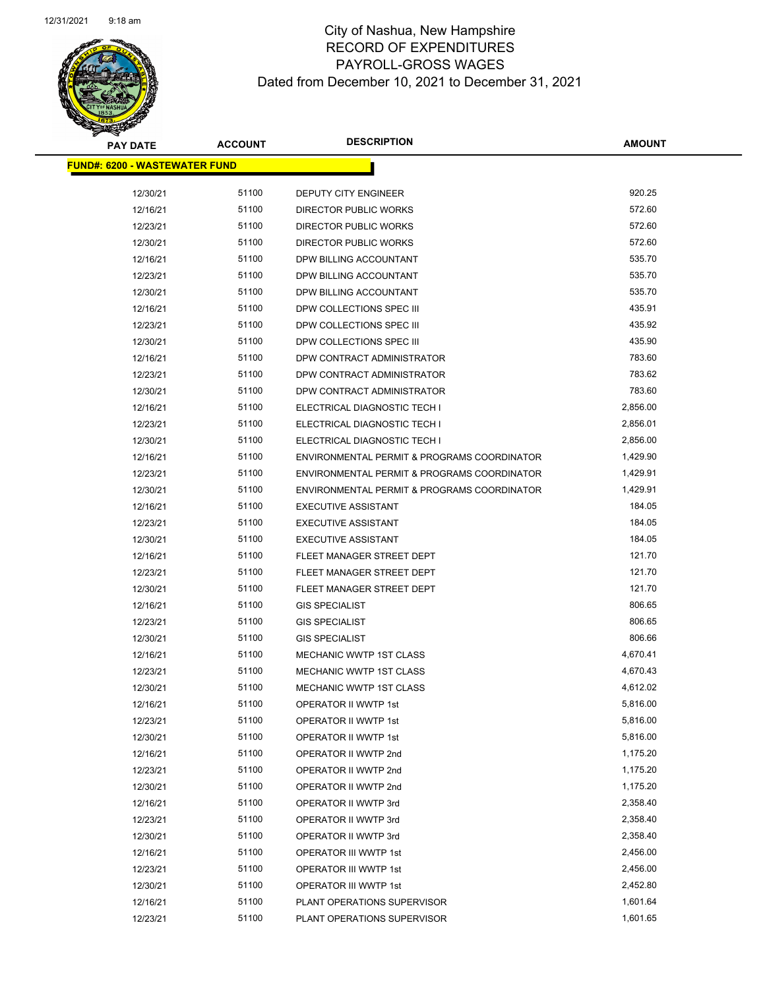

**AMOUNT**

| <u> FUND#: 6200 - WASTEWATER FUND</u> |       |                                             |          |
|---------------------------------------|-------|---------------------------------------------|----------|
|                                       |       |                                             |          |
| 12/30/21                              | 51100 | <b>DEPUTY CITY ENGINEER</b>                 | 920.25   |
| 12/16/21                              | 51100 | DIRECTOR PUBLIC WORKS                       | 572.60   |
| 12/23/21                              | 51100 | <b>DIRECTOR PUBLIC WORKS</b>                | 572.60   |
| 12/30/21                              | 51100 | DIRECTOR PUBLIC WORKS                       | 572.60   |
| 12/16/21                              | 51100 | DPW BILLING ACCOUNTANT                      | 535.70   |
| 12/23/21                              | 51100 | DPW BILLING ACCOUNTANT                      | 535.70   |
| 12/30/21                              | 51100 | DPW BILLING ACCOUNTANT                      | 535.70   |
| 12/16/21                              | 51100 | DPW COLLECTIONS SPEC III                    | 435.91   |
| 12/23/21                              | 51100 | DPW COLLECTIONS SPEC III                    | 435.92   |
| 12/30/21                              | 51100 | DPW COLLECTIONS SPEC III                    | 435.90   |
| 12/16/21                              | 51100 | DPW CONTRACT ADMINISTRATOR                  | 783.60   |
| 12/23/21                              | 51100 | DPW CONTRACT ADMINISTRATOR                  | 783.62   |
| 12/30/21                              | 51100 | DPW CONTRACT ADMINISTRATOR                  | 783.60   |
| 12/16/21                              | 51100 | ELECTRICAL DIAGNOSTIC TECH I                | 2,856.00 |
| 12/23/21                              | 51100 | ELECTRICAL DIAGNOSTIC TECH I                | 2,856.01 |
| 12/30/21                              | 51100 | ELECTRICAL DIAGNOSTIC TECH I                | 2,856.00 |
| 12/16/21                              | 51100 | ENVIRONMENTAL PERMIT & PROGRAMS COORDINATOR | 1,429.90 |
| 12/23/21                              | 51100 | ENVIRONMENTAL PERMIT & PROGRAMS COORDINATOR | 1,429.91 |
| 12/30/21                              | 51100 | ENVIRONMENTAL PERMIT & PROGRAMS COORDINATOR | 1,429.91 |
| 12/16/21                              | 51100 | <b>EXECUTIVE ASSISTANT</b>                  | 184.05   |
| 12/23/21                              | 51100 | <b>EXECUTIVE ASSISTANT</b>                  | 184.05   |
| 12/30/21                              | 51100 | <b>EXECUTIVE ASSISTANT</b>                  | 184.05   |
| 12/16/21                              | 51100 | FLEET MANAGER STREET DEPT                   | 121.70   |
| 12/23/21                              | 51100 | FLEET MANAGER STREET DEPT                   | 121.70   |
| 12/30/21                              | 51100 | FLEET MANAGER STREET DEPT                   | 121.70   |
| 12/16/21                              | 51100 | <b>GIS SPECIALIST</b>                       | 806.65   |
| 12/23/21                              | 51100 | <b>GIS SPECIALIST</b>                       | 806.65   |
| 12/30/21                              | 51100 | <b>GIS SPECIALIST</b>                       | 806.66   |
| 12/16/21                              | 51100 | <b>MECHANIC WWTP 1ST CLASS</b>              | 4,670.41 |
| 12/23/21                              | 51100 | MECHANIC WWTP 1ST CLASS                     | 4,670.43 |
| 12/30/21                              | 51100 | MECHANIC WWTP 1ST CLASS                     | 4,612.02 |
| 12/16/21                              | 51100 | OPERATOR II WWTP 1st                        | 5,816.00 |
| 12/23/21                              | 51100 | OPERATOR II WWTP 1st                        | 5,816.00 |
| 12/30/21                              | 51100 | OPERATOR II WWTP 1st                        | 5,816.00 |
| 12/16/21                              | 51100 | OPERATOR II WWTP 2nd                        | 1,175.20 |
| 12/23/21                              | 51100 | OPERATOR II WWTP 2nd                        | 1,175.20 |
| 12/30/21                              | 51100 | OPERATOR II WWTP 2nd                        | 1,175.20 |
| 12/16/21                              | 51100 | OPERATOR II WWTP 3rd                        | 2,358.40 |
| 12/23/21                              | 51100 | OPERATOR II WWTP 3rd                        | 2,358.40 |
| 12/30/21                              | 51100 | OPERATOR II WWTP 3rd                        | 2,358.40 |
| 12/16/21                              | 51100 | OPERATOR III WWTP 1st                       | 2,456.00 |
| 12/23/21                              | 51100 | OPERATOR III WWTP 1st                       | 2,456.00 |
| 12/30/21                              | 51100 | OPERATOR III WWTP 1st                       | 2,452.80 |
| 12/16/21                              | 51100 | PLANT OPERATIONS SUPERVISOR                 | 1,601.64 |
| 12/23/21                              | 51100 | PLANT OPERATIONS SUPERVISOR                 | 1,601.65 |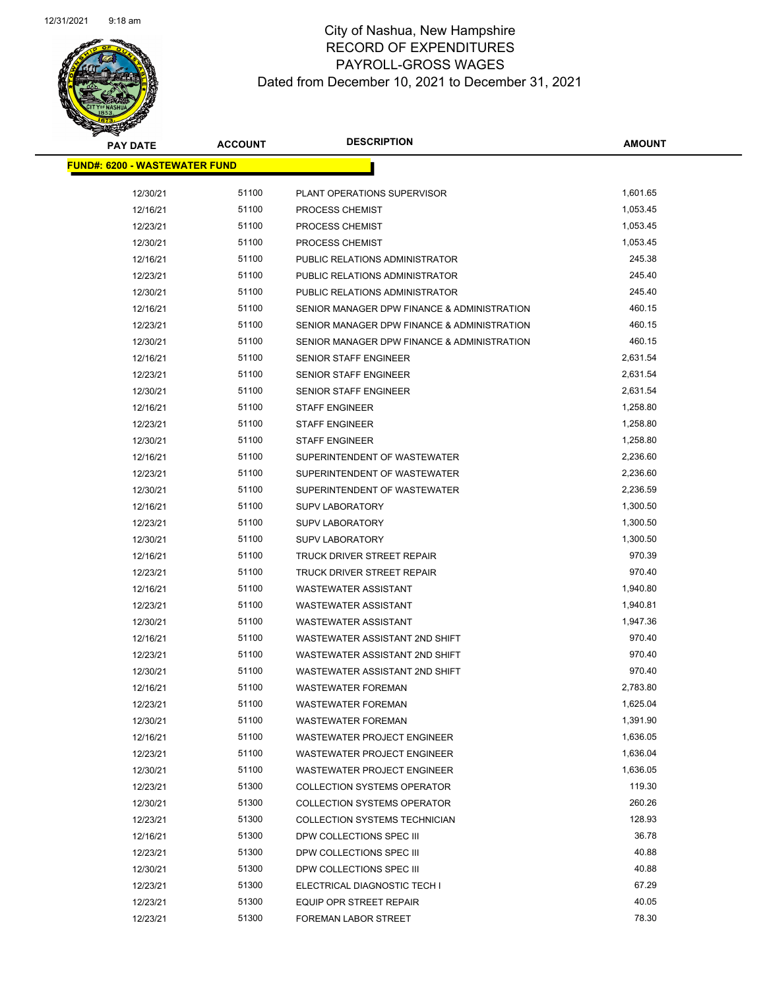

**AMOUNT**

 $\overline{\phantom{0}}$ 

| <u> FUND#: 6200 - WASTEWATER FUND</u> |                |                                             |                |
|---------------------------------------|----------------|---------------------------------------------|----------------|
| 12/30/21                              | 51100          | PLANT OPERATIONS SUPERVISOR                 | 1,601.65       |
| 12/16/21                              | 51100          | PROCESS CHEMIST                             | 1,053.45       |
| 12/23/21                              | 51100          | PROCESS CHEMIST                             | 1,053.45       |
| 12/30/21                              | 51100          | PROCESS CHEMIST                             | 1,053.45       |
| 12/16/21                              | 51100          | PUBLIC RELATIONS ADMINISTRATOR              | 245.38         |
| 12/23/21                              | 51100          | PUBLIC RELATIONS ADMINISTRATOR              | 245.40         |
| 12/30/21                              | 51100          | PUBLIC RELATIONS ADMINISTRATOR              | 245.40         |
| 12/16/21                              | 51100          | SENIOR MANAGER DPW FINANCE & ADMINISTRATION | 460.15         |
| 12/23/21                              | 51100          | SENIOR MANAGER DPW FINANCE & ADMINISTRATION | 460.15         |
| 12/30/21                              | 51100          | SENIOR MANAGER DPW FINANCE & ADMINISTRATION | 460.15         |
| 12/16/21                              | 51100          | SENIOR STAFF ENGINEER                       | 2,631.54       |
| 12/23/21                              | 51100          | SENIOR STAFF ENGINEER                       | 2,631.54       |
| 12/30/21                              | 51100          | SENIOR STAFF ENGINEER                       | 2,631.54       |
| 12/16/21                              | 51100          | <b>STAFF ENGINEER</b>                       | 1,258.80       |
| 12/23/21                              | 51100          | <b>STAFF ENGINEER</b>                       | 1,258.80       |
| 12/30/21                              | 51100          | <b>STAFF ENGINEER</b>                       | 1,258.80       |
| 12/16/21                              | 51100          | SUPERINTENDENT OF WASTEWATER                | 2,236.60       |
| 12/23/21                              | 51100          | SUPERINTENDENT OF WASTEWATER                | 2,236.60       |
| 12/30/21                              | 51100          | SUPERINTENDENT OF WASTEWATER                | 2,236.59       |
| 12/16/21                              | 51100          | <b>SUPV LABORATORY</b>                      | 1,300.50       |
| 12/23/21                              | 51100          | <b>SUPV LABORATORY</b>                      | 1,300.50       |
| 12/30/21                              | 51100          | <b>SUPV LABORATORY</b>                      | 1,300.50       |
| 12/16/21                              | 51100          | TRUCK DRIVER STREET REPAIR                  | 970.39         |
| 12/23/21                              | 51100          | TRUCK DRIVER STREET REPAIR                  | 970.40         |
| 12/16/21                              | 51100          | <b>WASTEWATER ASSISTANT</b>                 | 1,940.80       |
| 12/23/21                              | 51100          | <b>WASTEWATER ASSISTANT</b>                 | 1,940.81       |
| 12/30/21                              | 51100          | <b>WASTEWATER ASSISTANT</b>                 | 1,947.36       |
| 12/16/21                              | 51100          | WASTEWATER ASSISTANT 2ND SHIFT              | 970.40         |
| 12/23/21                              | 51100          | WASTEWATER ASSISTANT 2ND SHIFT              | 970.40         |
| 12/30/21                              | 51100          | WASTEWATER ASSISTANT 2ND SHIFT              | 970.40         |
| 12/16/21                              | 51100          | <b>WASTEWATER FOREMAN</b>                   | 2,783.80       |
| 12/23/21                              | 51100          | <b>WASTEWATER FOREMAN</b>                   | 1,625.04       |
| 12/30/21                              | 51100          | <b>WASTEWATER FOREMAN</b>                   | 1,391.90       |
| 12/16/21                              | 51100          | WASTEWATER PROJECT ENGINEER                 | 1,636.05       |
| 12/23/21                              | 51100          | WASTEWATER PROJECT ENGINEER                 | 1,636.04       |
| 12/30/21                              | 51100          | <b>WASTEWATER PROJECT ENGINEER</b>          | 1,636.05       |
| 12/23/21                              | 51300          | <b>COLLECTION SYSTEMS OPERATOR</b>          | 119.30         |
| 12/30/21                              | 51300          | <b>COLLECTION SYSTEMS OPERATOR</b>          | 260.26         |
| 12/23/21                              | 51300          | COLLECTION SYSTEMS TECHNICIAN               | 128.93         |
| 12/16/21                              | 51300          | DPW COLLECTIONS SPEC III                    | 36.78          |
| 12/23/21                              | 51300          | DPW COLLECTIONS SPEC III                    | 40.88          |
| 12/30/21                              | 51300          | DPW COLLECTIONS SPEC III                    | 40.88<br>67.29 |
| 12/23/21                              | 51300<br>51300 | ELECTRICAL DIAGNOSTIC TECH I                | 40.05          |
| 12/23/21                              | 51300          | EQUIP OPR STREET REPAIR                     | 78.30          |
| 12/23/21                              |                | FOREMAN LABOR STREET                        |                |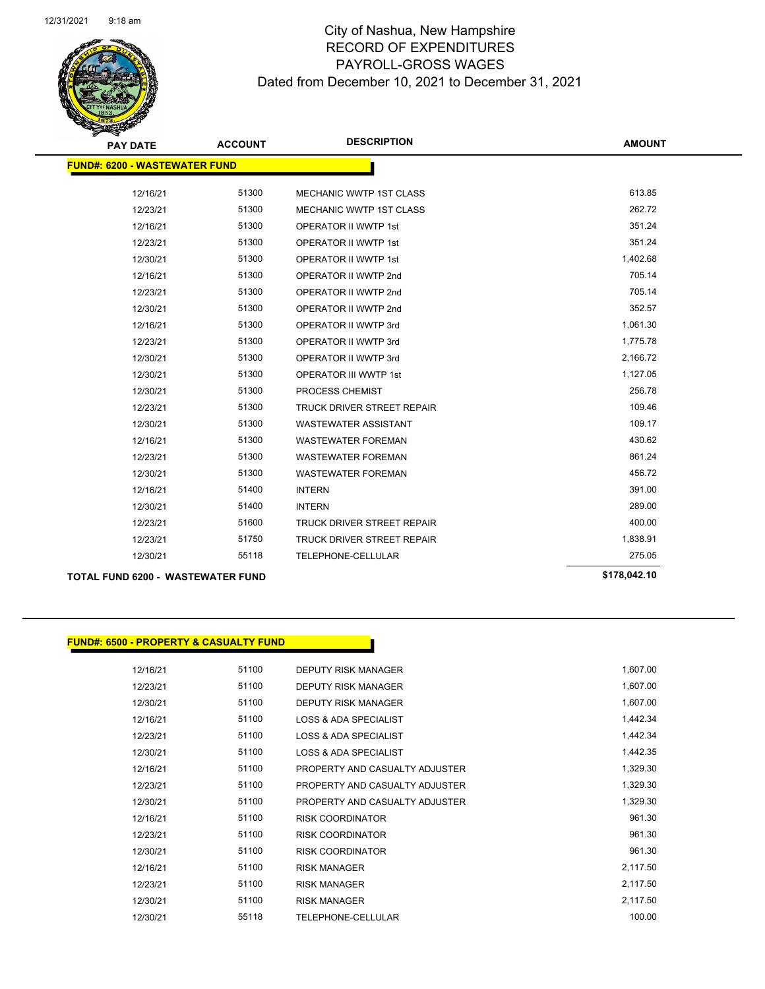

## City of Nashua, New Hampshire RECORD OF EXPENDITURES PAYROLL-GROSS WAGES Dated from December 10, 2021 to December 31, 2021

| <b>PAY DATE</b>                          | <b>ACCOUNT</b> | <b>DESCRIPTION</b>                | <b>AMOUNT</b> |
|------------------------------------------|----------------|-----------------------------------|---------------|
| <b>FUND#: 6200 - WASTEWATER FUND</b>     |                |                                   |               |
| 12/16/21                                 | 51300          | <b>MECHANIC WWTP 1ST CLASS</b>    | 613.85        |
| 12/23/21                                 | 51300          | MECHANIC WWTP 1ST CLASS           | 262.72        |
| 12/16/21                                 | 51300          | <b>OPERATOR II WWTP 1st</b>       | 351.24        |
| 12/23/21                                 | 51300          | OPERATOR II WWTP 1st              | 351.24        |
| 12/30/21                                 | 51300          | <b>OPERATOR II WWTP 1st</b>       | 1,402.68      |
| 12/16/21                                 | 51300          | OPERATOR II WWTP 2nd              | 705.14        |
| 12/23/21                                 | 51300          | OPERATOR II WWTP 2nd              | 705.14        |
| 12/30/21                                 | 51300          | OPERATOR II WWTP 2nd              | 352.57        |
| 12/16/21                                 | 51300          | OPERATOR II WWTP 3rd              | 1,061.30      |
| 12/23/21                                 | 51300          | OPERATOR II WWTP 3rd              | 1,775.78      |
| 12/30/21                                 | 51300          | OPERATOR II WWTP 3rd              | 2,166.72      |
| 12/30/21                                 | 51300          | OPERATOR III WWTP 1st             | 1,127.05      |
| 12/30/21                                 | 51300          | PROCESS CHEMIST                   | 256.78        |
| 12/23/21                                 | 51300          | <b>TRUCK DRIVER STREET REPAIR</b> | 109.46        |
| 12/30/21                                 | 51300          | <b>WASTEWATER ASSISTANT</b>       | 109.17        |
| 12/16/21                                 | 51300          | <b>WASTEWATER FOREMAN</b>         | 430.62        |
| 12/23/21                                 | 51300          | <b>WASTEWATER FOREMAN</b>         | 861.24        |
| 12/30/21                                 | 51300          | <b>WASTEWATER FOREMAN</b>         | 456.72        |
| 12/16/21                                 | 51400          | <b>INTERN</b>                     | 391.00        |
| 12/30/21                                 | 51400          | <b>INTERN</b>                     | 289.00        |
| 12/23/21                                 | 51600          | <b>TRUCK DRIVER STREET REPAIR</b> | 400.00        |
| 12/23/21                                 | 51750          | <b>TRUCK DRIVER STREET REPAIR</b> | 1,838.91      |
| 12/30/21                                 | 55118          | TELEPHONE-CELLULAR                | 275.05        |
| <b>TOTAL FUND 6200 - WASTEWATER FUND</b> |                |                                   | \$178,042.10  |

## **FUND#: 6500 - PROPERTY & CASUALTY FUND**

| 12/16/21 | 51100 | <b>DEPUTY RISK MANAGER</b>       | 1,607.00 |
|----------|-------|----------------------------------|----------|
| 12/23/21 | 51100 | <b>DEPUTY RISK MANAGER</b>       | 1,607.00 |
| 12/30/21 | 51100 | <b>DEPUTY RISK MANAGER</b>       | 1,607.00 |
| 12/16/21 | 51100 | LOSS & ADA SPECIALIST            | 1,442.34 |
| 12/23/21 | 51100 | LOSS & ADA SPECIALIST            | 1,442.34 |
| 12/30/21 | 51100 | <b>LOSS &amp; ADA SPECIALIST</b> | 1,442.35 |
| 12/16/21 | 51100 | PROPERTY AND CASUALTY ADJUSTER   | 1,329.30 |
| 12/23/21 | 51100 | PROPERTY AND CASUALTY ADJUSTER   | 1,329.30 |
| 12/30/21 | 51100 | PROPERTY AND CASUALTY ADJUSTER   | 1,329.30 |
| 12/16/21 | 51100 | <b>RISK COORDINATOR</b>          | 961.30   |
| 12/23/21 | 51100 | <b>RISK COORDINATOR</b>          | 961.30   |
| 12/30/21 | 51100 | <b>RISK COORDINATOR</b>          | 961.30   |
| 12/16/21 | 51100 | <b>RISK MANAGER</b>              | 2,117.50 |
| 12/23/21 | 51100 | <b>RISK MANAGER</b>              | 2,117.50 |
| 12/30/21 | 51100 | <b>RISK MANAGER</b>              | 2,117.50 |
| 12/30/21 | 55118 | TELEPHONE-CELLULAR               | 100.00   |